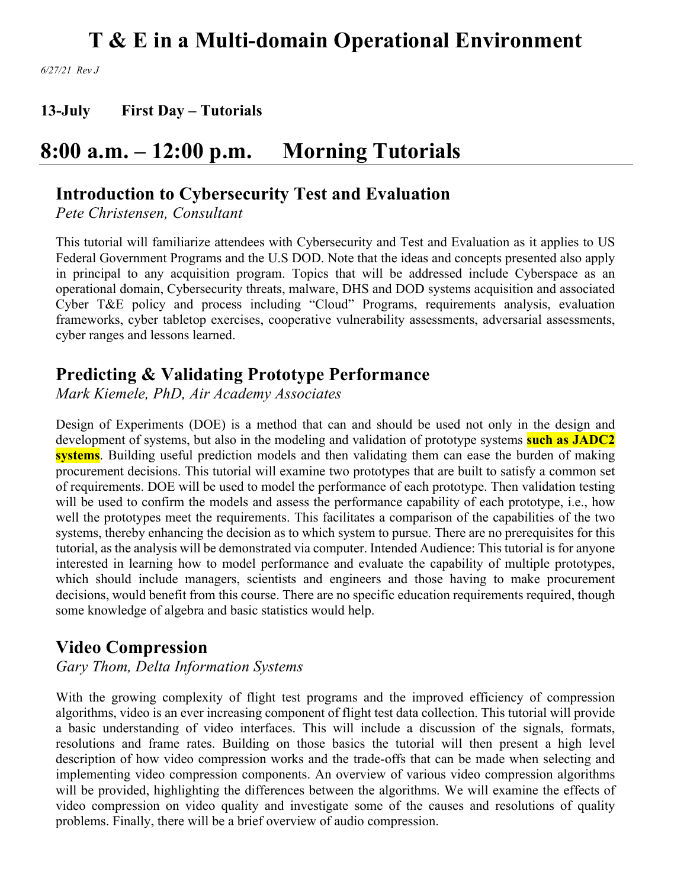*6/27/21 Rev J*

**13-July First Day – Tutorials**

## **8:00 a.m. – 12:00 p.m. Morning Tutorials**

## **Introduction to Cybersecurity Test and Evaluation**

*Pete Christensen, Consultant*

This tutorial will familiarize attendees with Cybersecurity and Test and Evaluation as it applies to US Federal Government Programs and the U.S DOD. Note that the ideas and concepts presented also apply in principal to any acquisition program. Topics that will be addressed include Cyberspace as an operational domain, Cybersecurity threats, malware, DHS and DOD systems acquisition and associated Cyber T&E policy and process including "Cloud" Programs, requirements analysis, evaluation frameworks, cyber tabletop exercises, cooperative vulnerability assessments, adversarial assessments, cyber ranges and lessons learned.

## **Predicting & Validating Prototype Performance**

*Mark Kiemele, PhD, Air Academy Associates*

Design of Experiments (DOE) is a method that can and should be used not only in the design and development of systems, but also in the modeling and validation of prototype systems **such as JADC2 systems**. Building useful prediction models and then validating them can ease the burden of making procurement decisions. This tutorial will examine two prototypes that are built to satisfy a common set of requirements. DOE will be used to model the performance of each prototype. Then validation testing will be used to confirm the models and assess the performance capability of each prototype, i.e., how well the prototypes meet the requirements. This facilitates a comparison of the capabilities of the two systems, thereby enhancing the decision as to which system to pursue. There are no prerequisites for this tutorial, as the analysis will be demonstrated via computer. Intended Audience: This tutorial is for anyone interested in learning how to model performance and evaluate the capability of multiple prototypes, which should include managers, scientists and engineers and those having to make procurement decisions, would benefit from this course. There are no specific education requirements required, though some knowledge of algebra and basic statistics would help.

## **Video Compression**

*Gary Thom, Delta Information Systems*

With the growing complexity of flight test programs and the improved efficiency of compression algorithms, video is an ever increasing component of flight test data collection. This tutorial will provide a basic understanding of video interfaces. This will include a discussion of the signals, formats, resolutions and frame rates. Building on those basics the tutorial will then present a high level description of how video compression works and the trade-offs that can be made when selecting and implementing video compression components. An overview of various video compression algorithms will be provided, highlighting the differences between the algorithms. We will examine the effects of video compression on video quality and investigate some of the causes and resolutions of quality problems. Finally, there will be a brief overview of audio compression.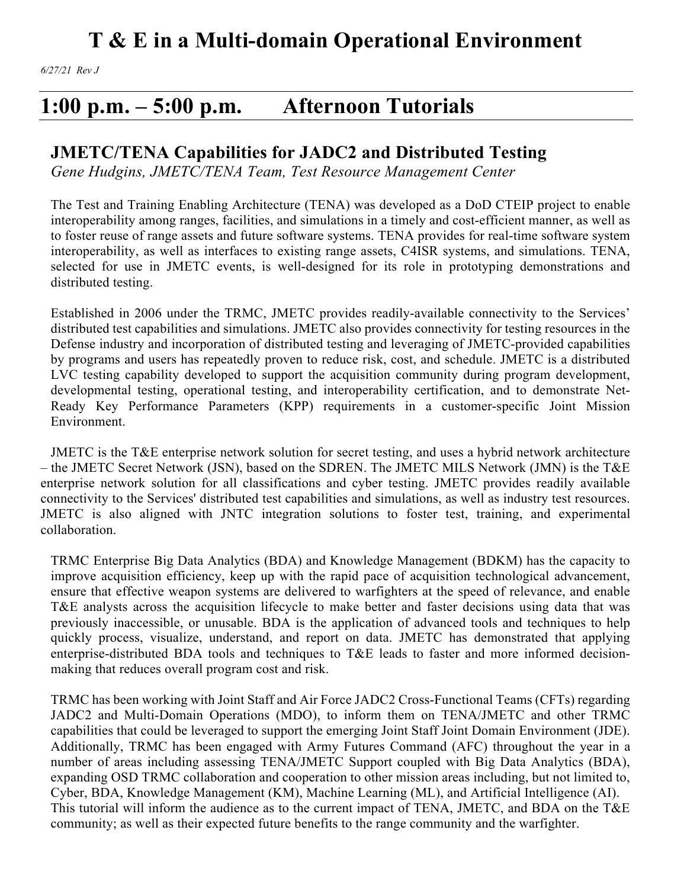## **1:00 p.m. – 5:00 p.m. Afternoon Tutorials**

## **JMETC/TENA Capabilities for JADC2 and Distributed Testing**

*Gene Hudgins, JMETC/TENA Team, Test Resource Management Center*

The Test and Training Enabling Architecture (TENA) was developed as a DoD CTEIP project to enable interoperability among ranges, facilities, and simulations in a timely and cost-efficient manner, as well as to foster reuse of range assets and future software systems. TENA provides for real-time software system interoperability, as well as interfaces to existing range assets, C4ISR systems, and simulations. TENA, selected for use in JMETC events, is well-designed for its role in prototyping demonstrations and distributed testing.

Established in 2006 under the TRMC, JMETC provides readily-available connectivity to the Services' distributed test capabilities and simulations. JMETC also provides connectivity for testing resources in the Defense industry and incorporation of distributed testing and leveraging of JMETC-provided capabilities by programs and users has repeatedly proven to reduce risk, cost, and schedule. JMETC is a distributed LVC testing capability developed to support the acquisition community during program development, developmental testing, operational testing, and interoperability certification, and to demonstrate Net-Ready Key Performance Parameters (KPP) requirements in a customer-specific Joint Mission Environment.

JMETC is the T&E enterprise network solution for secret testing, and uses a hybrid network architecture – the JMETC Secret Network (JSN), based on the SDREN. The JMETC MILS Network (JMN) is the T&E enterprise network solution for all classifications and cyber testing. JMETC provides readily available connectivity to the Services' distributed test capabilities and simulations, as well as industry test resources. JMETC is also aligned with JNTC integration solutions to foster test, training, and experimental collaboration.

TRMC Enterprise Big Data Analytics (BDA) and Knowledge Management (BDKM) has the capacity to improve acquisition efficiency, keep up with the rapid pace of acquisition technological advancement, ensure that effective weapon systems are delivered to warfighters at the speed of relevance, and enable T&E analysts across the acquisition lifecycle to make better and faster decisions using data that was previously inaccessible, or unusable. BDA is the application of advanced tools and techniques to help quickly process, visualize, understand, and report on data. JMETC has demonstrated that applying enterprise-distributed BDA tools and techniques to T&E leads to faster and more informed decisionmaking that reduces overall program cost and risk.

TRMC has been working with Joint Staff and Air Force JADC2 Cross-Functional Teams (CFTs) regarding JADC2 and Multi-Domain Operations (MDO), to inform them on TENA/JMETC and other TRMC capabilities that could be leveraged to support the emerging Joint Staff Joint Domain Environment (JDE). Additionally, TRMC has been engaged with Army Futures Command (AFC) throughout the year in a number of areas including assessing TENA/JMETC Support coupled with Big Data Analytics (BDA), expanding OSD TRMC collaboration and cooperation to other mission areas including, but not limited to, Cyber, BDA, Knowledge Management (KM), Machine Learning (ML), and Artificial Intelligence (AI). This tutorial will inform the audience as to the current impact of TENA, JMETC, and BDA on the T&E community; as well as their expected future benefits to the range community and the warfighter.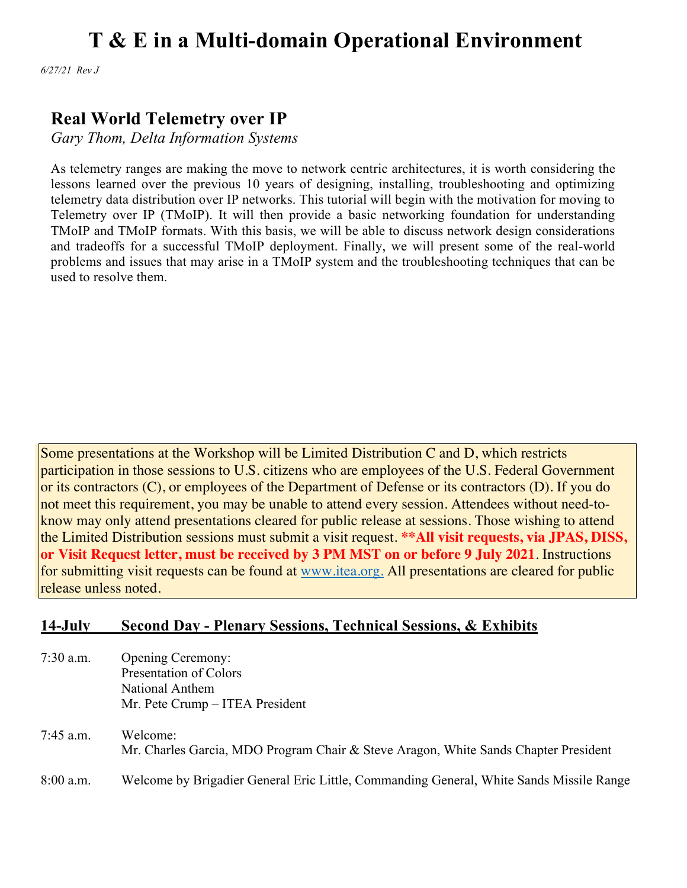*6/27/21 Rev J*

## **Real World Telemetry over IP**

*Gary Thom, Delta Information Systems*

As telemetry ranges are making the move to network centric architectures, it is worth considering the lessons learned over the previous 10 years of designing, installing, troubleshooting and optimizing telemetry data distribution over IP networks. This tutorial will begin with the motivation for moving to Telemetry over IP (TMoIP). It will then provide a basic networking foundation for understanding TMoIP and TMoIP formats. With this basis, we will be able to discuss network design considerations and tradeoffs for a successful TMoIP deployment. Finally, we will present some of the real-world problems and issues that may arise in a TMoIP system and the troubleshooting techniques that can be used to resolve them.

Some presentations at the Workshop will be Limited Distribution C and D, which restricts participation in those sessions to U.S. citizens who are employees of the U.S. Federal Government or its contractors (C), or employees of the Department of Defense or its contractors (D). If you do not meet this requirement, you may be unable to attend every session. Attendees without need-toknow may only attend presentations cleared for public release at sessions. Those wishing to attend the Limited Distribution sessions must submit a visit request. **\*\*All visit requests, via JPAS, DISS, or Visit Request letter, must be received by 3 PM MST on or before 9 July 2021**. Instructions for submitting visit requests can be found at www.itea.org. All presentations are cleared for public release unless noted.

### **14-July Second Day - Plenary Sessions, Technical Sessions, & Exhibits**

- 7:30 a.m. Opening Ceremony: Presentation of Colors National Anthem Mr. Pete Crump – ITEA President
- 7:45 a.m. Welcome: Mr. Charles Garcia, MDO Program Chair & Steve Aragon, White Sands Chapter President 8:00 a.m. Welcome by Brigadier General Eric Little, Commanding General, White Sands Missile Range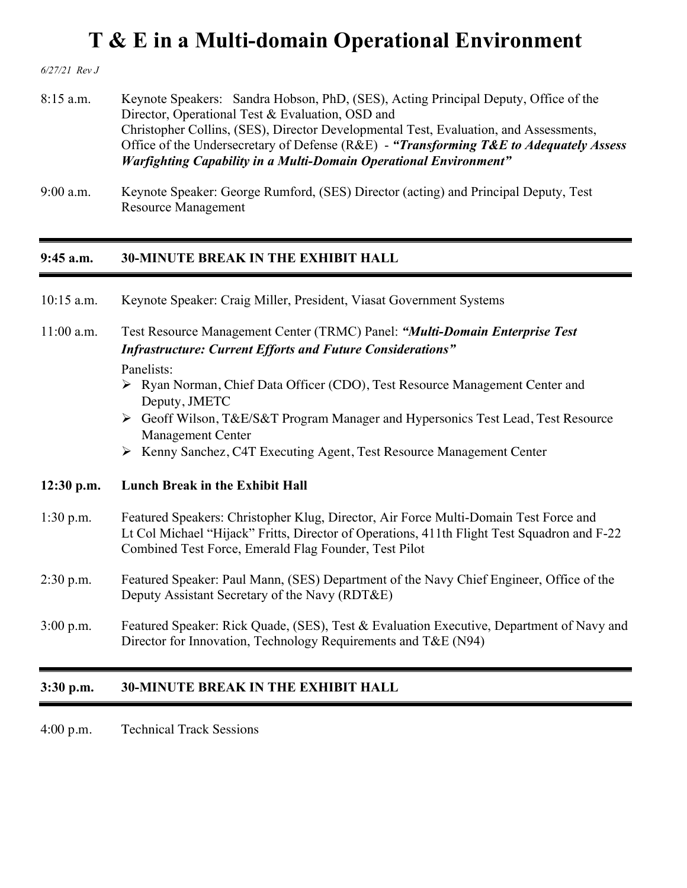*6/27/21 Rev J*

- 8:15 a.m. Keynote Speakers: Sandra Hobson, PhD, (SES), Acting Principal Deputy, Office of the Director, Operational Test & Evaluation, OSD and Christopher Collins, (SES), Director Developmental Test, Evaluation, and Assessments, Office of the Undersecretary of Defense (R&E) - *"Transforming T&E to Adequately Assess Warfighting Capability in a Multi-Domain Operational Environment"*
- 9:00 a.m. Keynote Speaker: George Rumford, (SES) Director (acting) and Principal Deputy, Test Resource Management

#### **9:45 a.m. 30-MINUTE BREAK IN THE EXHIBIT HALL**

| $3:30$ p.m.  | <b>30-MINUTE BREAK IN THE EXHIBIT HALL</b>                                                                                                                                                                                                                                                                                                                                                                                                                              |
|--------------|-------------------------------------------------------------------------------------------------------------------------------------------------------------------------------------------------------------------------------------------------------------------------------------------------------------------------------------------------------------------------------------------------------------------------------------------------------------------------|
| $3:00$ p.m.  | Featured Speaker: Rick Quade, (SES), Test & Evaluation Executive, Department of Navy and<br>Director for Innovation, Technology Requirements and T&E (N94)                                                                                                                                                                                                                                                                                                              |
| $2:30$ p.m.  | Featured Speaker: Paul Mann, (SES) Department of the Navy Chief Engineer, Office of the<br>Deputy Assistant Secretary of the Navy (RDT&E)                                                                                                                                                                                                                                                                                                                               |
| $1:30$ p.m.  | Featured Speakers: Christopher Klug, Director, Air Force Multi-Domain Test Force and<br>Lt Col Michael "Hijack" Fritts, Director of Operations, 411th Flight Test Squadron and F-22<br>Combined Test Force, Emerald Flag Founder, Test Pilot                                                                                                                                                                                                                            |
| $12:30$ p.m. | <b>Lunch Break in the Exhibit Hall</b>                                                                                                                                                                                                                                                                                                                                                                                                                                  |
| $11:00$ a.m. | Test Resource Management Center (TRMC) Panel: "Multi-Domain Enterprise Test<br><b>Infrastructure: Current Efforts and Future Considerations"</b><br>Panelists:<br>$\triangleright$ Ryan Norman, Chief Data Officer (CDO), Test Resource Management Center and<br>Deputy, JMETC<br>► Geoff Wilson, T&E/S&T Program Manager and Hypersonics Test Lead, Test Resource<br><b>Management Center</b><br>▶ Kenny Sanchez, C4T Executing Agent, Test Resource Management Center |
| $10:15$ a.m. | Keynote Speaker: Craig Miller, President, Viasat Government Systems                                                                                                                                                                                                                                                                                                                                                                                                     |

4:00 p.m. Technical Track Sessions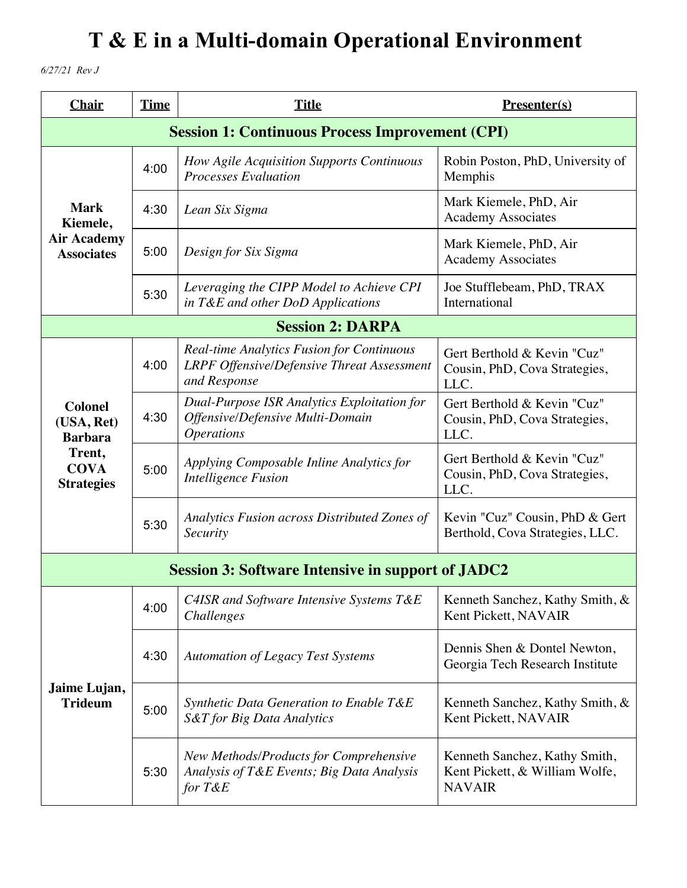*6/27/21 Rev J*

| <b>Chair</b>                                   | <b>Time</b>                                            | <b>Title</b>                                                                                                          | $Presenter(s)$                                                                   |  |
|------------------------------------------------|--------------------------------------------------------|-----------------------------------------------------------------------------------------------------------------------|----------------------------------------------------------------------------------|--|
|                                                | <b>Session 1: Continuous Process Improvement (CPI)</b> |                                                                                                                       |                                                                                  |  |
|                                                | 4:00                                                   | How Agile Acquisition Supports Continuous<br>Processes Evaluation                                                     | Robin Poston, PhD, University of<br>Memphis                                      |  |
| <b>Mark</b><br>Kiemele,                        | 4:30                                                   | Lean Six Sigma                                                                                                        | Mark Kiemele, PhD, Air<br><b>Academy Associates</b>                              |  |
| <b>Air Academy</b><br><b>Associates</b>        | 5:00                                                   | Design for Six Sigma                                                                                                  | Mark Kiemele, PhD, Air<br><b>Academy Associates</b>                              |  |
|                                                | 5:30                                                   | Leveraging the CIPP Model to Achieve CPI<br>in T&E and other DoD Applications                                         | Joe Stufflebeam, PhD, TRAX<br>International                                      |  |
|                                                |                                                        | <b>Session 2: DARPA</b>                                                                                               |                                                                                  |  |
|                                                | 4:00                                                   | <b>Real-time Analytics Fusion for Continuous</b><br><b>LRPF Offensive/Defensive Threat Assessment</b><br>and Response | Gert Berthold & Kevin "Cuz"<br>Cousin, PhD, Cova Strategies,<br>LLC.             |  |
| <b>Colonel</b><br>(USA, Ret)<br><b>Barbara</b> | 4:30                                                   | Dual-Purpose ISR Analytics Exploitation for<br>Offensive/Defensive Multi-Domain<br><i><b>Operations</b></i>           | Gert Berthold & Kevin "Cuz"<br>Cousin, PhD, Cova Strategies,<br>LLC.             |  |
| Trent,<br><b>COVA</b><br><b>Strategies</b>     | 5:00                                                   | Applying Composable Inline Analytics for<br><b>Intelligence Fusion</b>                                                | Gert Berthold & Kevin "Cuz"<br>Cousin, PhD, Cova Strategies,<br>LLC.             |  |
|                                                | 5:30                                                   | Analytics Fusion across Distributed Zones of<br>Security                                                              | Kevin "Cuz" Cousin, PhD & Gert<br>Berthold, Cova Strategies, LLC.                |  |
|                                                |                                                        | <b>Session 3: Software Intensive in support of JADC2</b>                                                              |                                                                                  |  |
|                                                | 4:00                                                   | C4ISR and Software Intensive Systems T&E<br>Challenges                                                                | Kenneth Sanchez, Kathy Smith, &<br>Kent Pickett, NAVAIR                          |  |
|                                                | 4:30                                                   | <b>Automation of Legacy Test Systems</b>                                                                              | Dennis Shen & Dontel Newton,<br>Georgia Tech Research Institute                  |  |
| Jaime Lujan,<br><b>Trideum</b>                 | 5:00                                                   | Synthetic Data Generation to Enable T&E<br>S&T for Big Data Analytics                                                 | Kenneth Sanchez, Kathy Smith, &<br>Kent Pickett, NAVAIR                          |  |
|                                                | 5:30                                                   | New Methods/Products for Comprehensive<br>Analysis of T&E Events; Big Data Analysis<br>for $T\&E$                     | Kenneth Sanchez, Kathy Smith,<br>Kent Pickett, & William Wolfe,<br><b>NAVAIR</b> |  |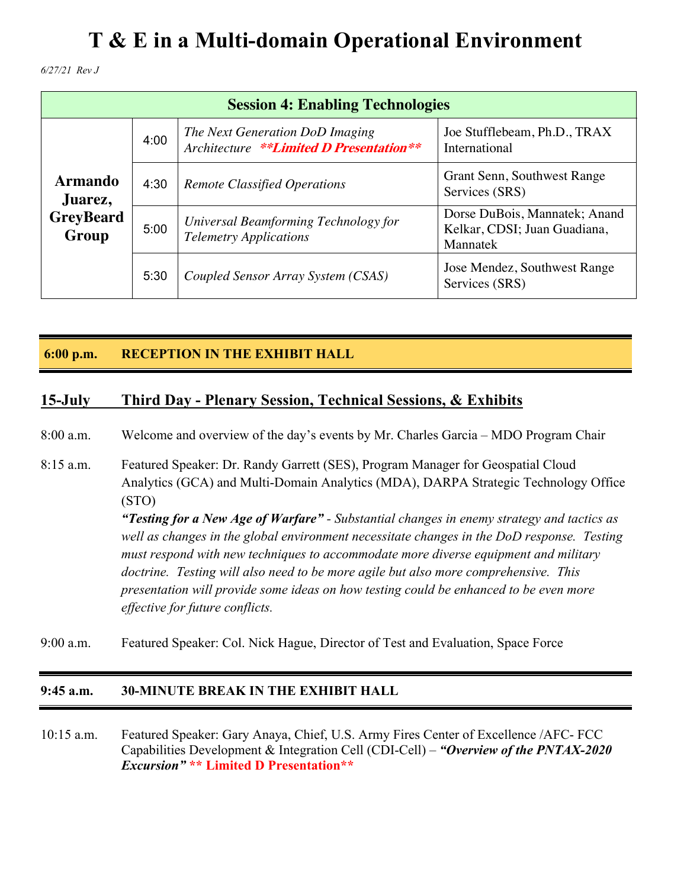*6/27/21 Rev J*

| <b>Session 4: Enabling Technologies</b> |      |                                                                            |                                                                           |
|-----------------------------------------|------|----------------------------------------------------------------------------|---------------------------------------------------------------------------|
| <b>Armando</b><br>Juarez,               | 4:00 | The Next Generation DoD Imaging<br>Architecture **Limited D Presentation** | Joe Stufflebeam, Ph.D., TRAX<br>International                             |
|                                         | 4:30 | <b>Remote Classified Operations</b>                                        | Grant Senn, Southwest Range<br>Services (SRS)                             |
| <b>GreyBeard</b><br>Group               | 5:00 | Universal Beamforming Technology for<br><b>Telemetry Applications</b>      | Dorse DuBois, Mannatek; Anand<br>Kelkar, CDSI; Juan Guadiana,<br>Mannatek |
|                                         | 5:30 | Coupled Sensor Array System (CSAS)                                         | Jose Mendez, Southwest Range<br>Services (SRS)                            |

### **6:00 p.m. RECEPTION IN THE EXHIBIT HALL**

### **15-July Third Day - Plenary Session, Technical Sessions, & Exhibits**

8:00 a.m. Welcome and overview of the day's events by Mr. Charles Garcia – MDO Program Chair

- 8:15 a.m. Featured Speaker: Dr. Randy Garrett (SES), Program Manager for Geospatial Cloud Analytics (GCA) and Multi-Domain Analytics (MDA), DARPA Strategic Technology Office (STO) *"Testing for a New Age of Warfare" - Substantial changes in enemy strategy and tactics as well as changes in the global environment necessitate changes in the DoD response. Testing must respond with new techniques to accommodate more diverse equipment and military doctrine. Testing will also need to be more agile but also more comprehensive. This presentation will provide some ideas on how testing could be enhanced to be even more effective for future conflicts.*
- 9:00 a.m. Featured Speaker: Col. Nick Hague, Director of Test and Evaluation, Space Force

#### **9:45 a.m. 30-MINUTE BREAK IN THE EXHIBIT HALL**

10:15 a.m. Featured Speaker: Gary Anaya, Chief, U.S. Army Fires Center of Excellence /AFC- FCC Capabilities Development & Integration Cell (CDI-Cell) – *"Overview of the PNTAX-2020 Excursion"* **\*\* Limited D Presentation\*\***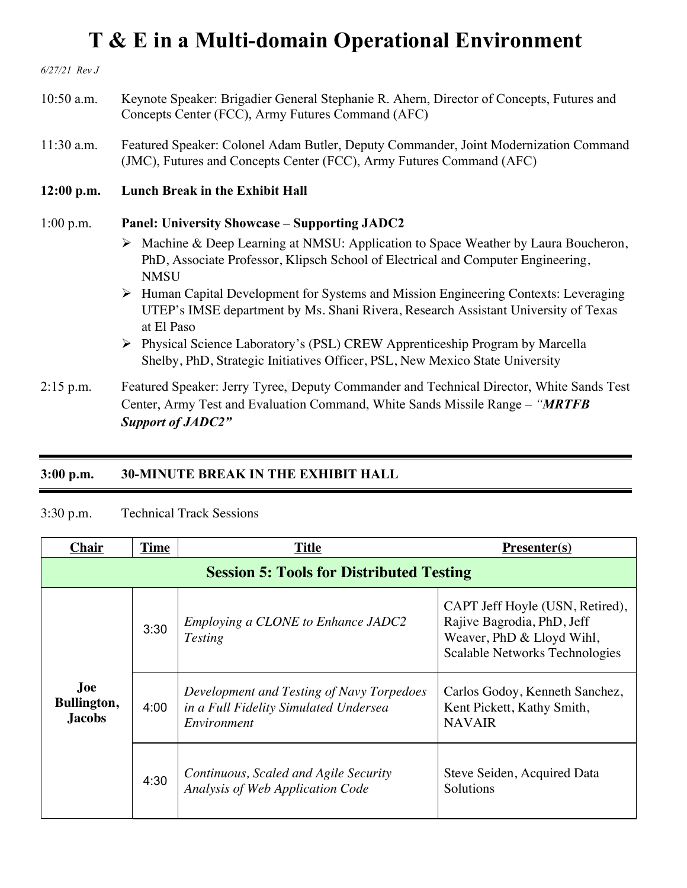*6/27/21 Rev J* 10:50 a.m. Keynote Speaker: Brigadier General Stephanie R. Ahern, Director of Concepts, Futures and Concepts Center (FCC), Army Futures Command (AFC) 11:30 a.m. Featured Speaker: Colonel Adam Butler, Deputy Commander, Joint Modernization Command (JMC), Futures and Concepts Center (FCC), Army Futures Command (AFC) **12:00 p.m. Lunch Break in the Exhibit Hall** 1:00 p.m. **Panel: University Showcase – Supporting JADC2**  Ø Machine & Deep Learning at NMSU: Application to Space Weather by Laura Boucheron, PhD, Associate Professor, Klipsch School of Electrical and Computer Engineering, **NMSU** Ø Human Capital Development for Systems and Mission Engineering Contexts: Leveraging UTEP's IMSE department by Ms. Shani Rivera, Research Assistant University of Texas at El Paso Ø Physical Science Laboratory's (PSL) CREW Apprenticeship Program by Marcella Shelby, PhD, Strategic Initiatives Officer, PSL, New Mexico State University 2:15 p.m. Featured Speaker: Jerry Tyree, Deputy Commander and Technical Director, White Sands Test Center, Army Test and Evaluation Command, White Sands Missile Range – *"MRTFB* 

*Support of JADC2"*

#### **3:00 p.m. 30-MINUTE BREAK IN THE EXHIBIT HALL**

#### 3:30 p.m. Technical Track Sessions

| <b>Chair</b>                                    | <b>Time</b> | <b>Title</b>                                                                                      | $Presenter(s)$                                                                                                               |
|-------------------------------------------------|-------------|---------------------------------------------------------------------------------------------------|------------------------------------------------------------------------------------------------------------------------------|
| <b>Session 5: Tools for Distributed Testing</b> |             |                                                                                                   |                                                                                                                              |
|                                                 | 3:30        | Employing a CLONE to Enhance JADC2<br><b>Testing</b>                                              | CAPT Jeff Hoyle (USN, Retired),<br>Rajive Bagrodia, PhD, Jeff<br>Weaver, PhD & Lloyd Wihl,<br>Scalable Networks Technologies |
| Joe<br>Bullington,<br><b>Jacobs</b>             | 4:00        | Development and Testing of Navy Torpedoes<br>in a Full Fidelity Simulated Undersea<br>Environment | Carlos Godoy, Kenneth Sanchez,<br>Kent Pickett, Kathy Smith,<br><b>NAVAIR</b>                                                |
|                                                 | 4:30        | Continuous, Scaled and Agile Security<br>Analysis of Web Application Code                         | Steve Seiden, Acquired Data<br>Solutions                                                                                     |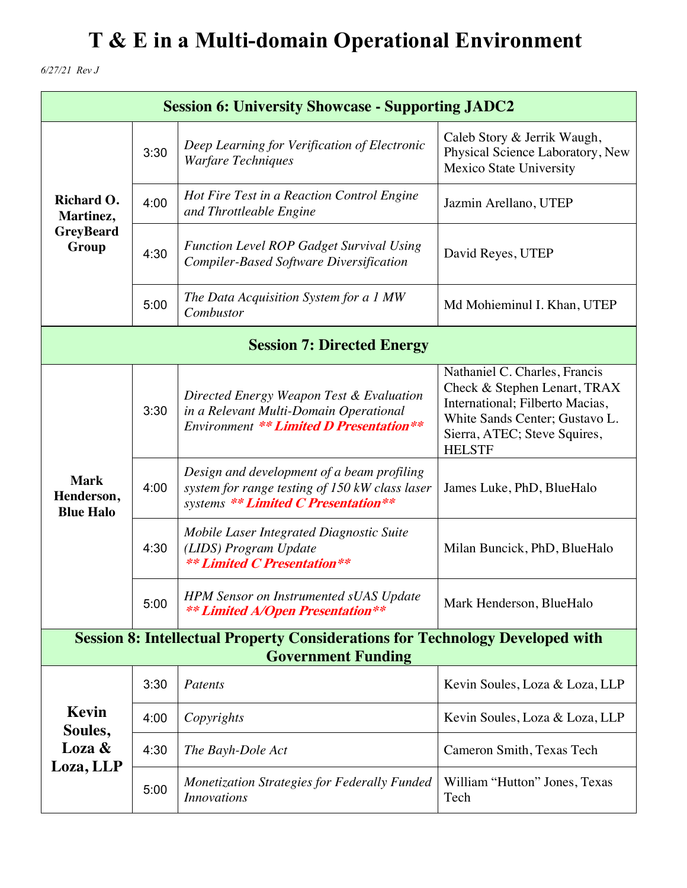*6/27/21 Rev J*

| <b>Session 6: University Showcase - Supporting JADC2</b> |                                                                                                                   |                                                                                                                                      |                                                                                                                                                                                     |  |
|----------------------------------------------------------|-------------------------------------------------------------------------------------------------------------------|--------------------------------------------------------------------------------------------------------------------------------------|-------------------------------------------------------------------------------------------------------------------------------------------------------------------------------------|--|
| Richard O.<br>Martinez,<br><b>GreyBeard</b><br>Group     | 3:30                                                                                                              | Deep Learning for Verification of Electronic<br><b>Warfare Techniques</b>                                                            | Caleb Story & Jerrik Waugh,<br>Physical Science Laboratory, New<br>Mexico State University                                                                                          |  |
|                                                          | 4:00                                                                                                              | Hot Fire Test in a Reaction Control Engine<br>and Throttleable Engine                                                                | Jazmin Arellano, UTEP                                                                                                                                                               |  |
|                                                          | 4:30                                                                                                              | Function Level ROP Gadget Survival Using<br><b>Compiler-Based Software Diversification</b>                                           | David Reyes, UTEP                                                                                                                                                                   |  |
|                                                          | 5:00                                                                                                              | The Data Acquisition System for a 1 MW<br>Combustor                                                                                  | Md Mohieminul I. Khan, UTEP                                                                                                                                                         |  |
|                                                          |                                                                                                                   | <b>Session 7: Directed Energy</b>                                                                                                    |                                                                                                                                                                                     |  |
|                                                          | 3:30                                                                                                              | Directed Energy Weapon Test & Evaluation<br>in a Relevant Multi-Domain Operational<br><b>Environment ** Limited D Presentation**</b> | Nathaniel C. Charles, Francis<br>Check & Stephen Lenart, TRAX<br>International; Filberto Macias,<br>White Sands Center; Gustavo L.<br>Sierra, ATEC; Steve Squires,<br><b>HELSTF</b> |  |
| <b>Mark</b><br>Henderson,<br><b>Blue Halo</b>            | 4:00                                                                                                              | Design and development of a beam profiling<br>system for range testing of 150 kW class laser<br>systems ** Limited C Presentation**  | James Luke, PhD, BlueHalo                                                                                                                                                           |  |
|                                                          | 4:30                                                                                                              | Mobile Laser Integrated Diagnostic Suite<br>(LIDS) Program Update<br><b>** Limited C Presentation**</b>                              | Milan Buncick, PhD, BlueHalo                                                                                                                                                        |  |
|                                                          | 5:00                                                                                                              | <b>HPM Sensor on Instrumented sUAS Update</b><br><b>** Limited A/Open Presentation**</b>                                             | Mark Henderson, BlueHalo                                                                                                                                                            |  |
|                                                          | <b>Session 8: Intellectual Property Considerations for Technology Developed with</b><br><b>Government Funding</b> |                                                                                                                                      |                                                                                                                                                                                     |  |
|                                                          | 3:30                                                                                                              | Patents                                                                                                                              | Kevin Soules, Loza & Loza, LLP                                                                                                                                                      |  |
| Kevin<br>Soules,                                         | 4:00                                                                                                              | Copyrights                                                                                                                           | Kevin Soules, Loza & Loza, LLP                                                                                                                                                      |  |
| Loza &                                                   | 4:30                                                                                                              | The Bayh-Dole Act                                                                                                                    | Cameron Smith, Texas Tech                                                                                                                                                           |  |
| Loza, LLP                                                | 5:00                                                                                                              | Monetization Strategies for Federally Funded<br><b>Innovations</b>                                                                   | William "Hutton" Jones, Texas<br>Tech                                                                                                                                               |  |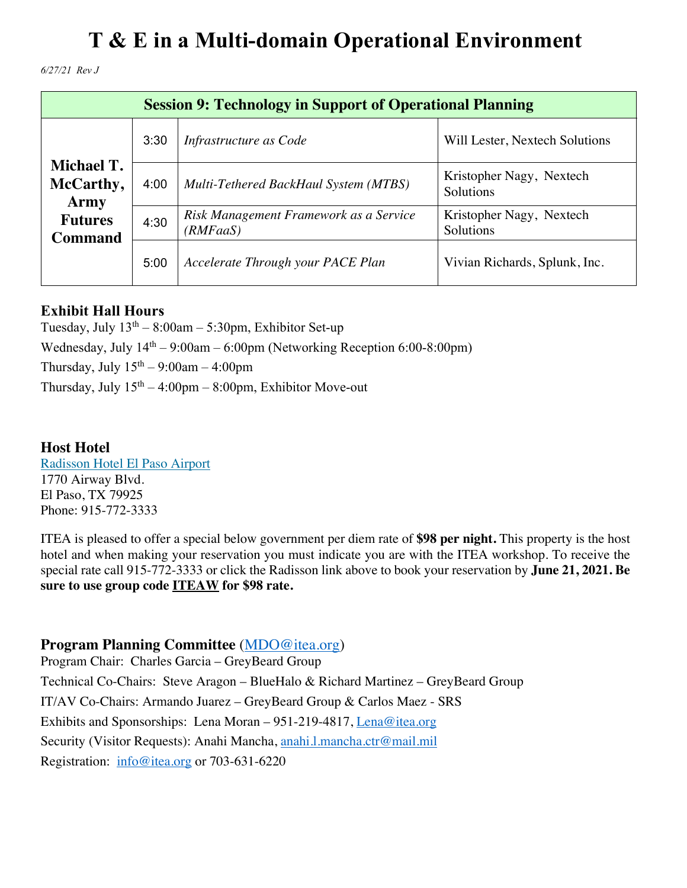*6/27/21 Rev J*

| <b>Session 9: Technology in Support of Operational Planning</b> |      |                                                    |                                       |
|-----------------------------------------------------------------|------|----------------------------------------------------|---------------------------------------|
| Michael T.<br>McCarthy,<br>Army                                 | 3:30 | Infrastructure as Code                             | Will Lester, Nextech Solutions        |
|                                                                 | 4:00 | Multi-Tethered BackHaul System (MTBS)              | Kristopher Nagy, Nextech<br>Solutions |
| <b>Futures</b><br><b>Command</b>                                | 4:30 | Risk Management Framework as a Service<br>(RMFaaS) | Kristopher Nagy, Nextech<br>Solutions |
|                                                                 | 5:00 | Accelerate Through your PACE Plan                  | Vivian Richards, Splunk, Inc.         |

### **Exhibit Hall Hours**

Tuesday, July  $13<sup>th</sup> - 8:00am - 5:30pm$ , Exhibitor Set-up Wednesday, July  $14<sup>th</sup> - 9:00$ am – 6:00pm (Networking Reception 6:00-8:00pm) Thursday, July  $15<sup>th</sup> - 9:00am - 4:00pm$ Thursday, July  $15<sup>th</sup> - 4:00pm - 8:00pm$ , Exhibitor Move-out

#### **Host Hotel**

Radisson Hotel El Paso Airport 1770 Airway Blvd. El Paso, TX 79925 Phone: 915-772-3333

ITEA is pleased to offer a special below government per diem rate of **\$98 per night.** This property is the host hotel and when making your reservation you must indicate you are with the ITEA workshop. To receive the special rate call 915-772-3333 or click the Radisson link above to book your reservation by **June 21, 2021. Be sure to use group code ITEAW for \$98 rate.**

### **Program Planning Committee** (MDO@itea.org)

Program Chair: Charles Garcia – GreyBeard Group Technical Co-Chairs: Steve Aragon – BlueHalo & Richard Martinez – GreyBeard Group IT/AV Co-Chairs: Armando Juarez – GreyBeard Group & Carlos Maez - SRS Exhibits and Sponsorships: Lena Moran – 951-219-4817, Lena@itea.org Security (Visitor Requests): Anahi Mancha, anahi.l.mancha.ctr@mail.mil Registration: info@itea.org or 703-631-6220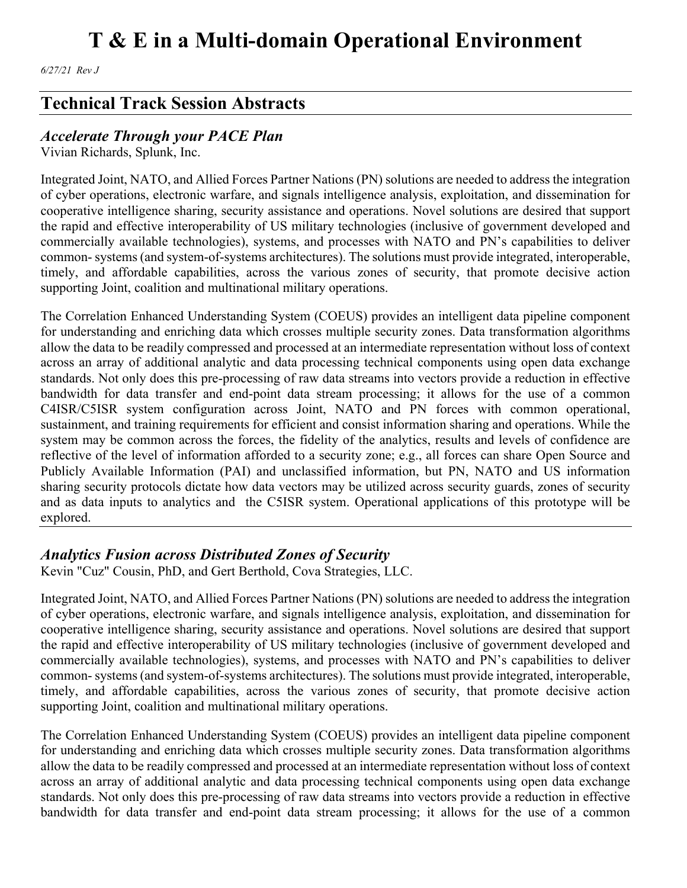*6/27/21 Rev J*

## **Technical Track Session Abstracts**

### *Accelerate Through your PACE Plan*

Vivian Richards, Splunk, Inc.

Integrated Joint, NATO, and Allied Forces Partner Nations (PN) solutions are needed to address the integration of cyber operations, electronic warfare, and signals intelligence analysis, exploitation, and dissemination for cooperative intelligence sharing, security assistance and operations. Novel solutions are desired that support the rapid and effective interoperability of US military technologies (inclusive of government developed and commercially available technologies), systems, and processes with NATO and PN's capabilities to deliver common- systems (and system-of-systems architectures). The solutions must provide integrated, interoperable, timely, and affordable capabilities, across the various zones of security, that promote decisive action supporting Joint, coalition and multinational military operations.

The Correlation Enhanced Understanding System (COEUS) provides an intelligent data pipeline component for understanding and enriching data which crosses multiple security zones. Data transformation algorithms allow the data to be readily compressed and processed at an intermediate representation without loss of context across an array of additional analytic and data processing technical components using open data exchange standards. Not only does this pre-processing of raw data streams into vectors provide a reduction in effective bandwidth for data transfer and end-point data stream processing; it allows for the use of a common C4ISR/C5ISR system configuration across Joint, NATO and PN forces with common operational, sustainment, and training requirements for efficient and consist information sharing and operations. While the system may be common across the forces, the fidelity of the analytics, results and levels of confidence are reflective of the level of information afforded to a security zone; e.g., all forces can share Open Source and Publicly Available Information (PAI) and unclassified information, but PN, NATO and US information sharing security protocols dictate how data vectors may be utilized across security guards, zones of security and as data inputs to analytics and the C5ISR system. Operational applications of this prototype will be explored.

### *Analytics Fusion across Distributed Zones of Security*

Kevin "Cuz" Cousin, PhD, and Gert Berthold, Cova Strategies, LLC.

Integrated Joint, NATO, and Allied Forces Partner Nations (PN) solutions are needed to address the integration of cyber operations, electronic warfare, and signals intelligence analysis, exploitation, and dissemination for cooperative intelligence sharing, security assistance and operations. Novel solutions are desired that support the rapid and effective interoperability of US military technologies (inclusive of government developed and commercially available technologies), systems, and processes with NATO and PN's capabilities to deliver common- systems (and system-of-systems architectures). The solutions must provide integrated, interoperable, timely, and affordable capabilities, across the various zones of security, that promote decisive action supporting Joint, coalition and multinational military operations.

The Correlation Enhanced Understanding System (COEUS) provides an intelligent data pipeline component for understanding and enriching data which crosses multiple security zones. Data transformation algorithms allow the data to be readily compressed and processed at an intermediate representation without loss of context across an array of additional analytic and data processing technical components using open data exchange standards. Not only does this pre-processing of raw data streams into vectors provide a reduction in effective bandwidth for data transfer and end-point data stream processing; it allows for the use of a common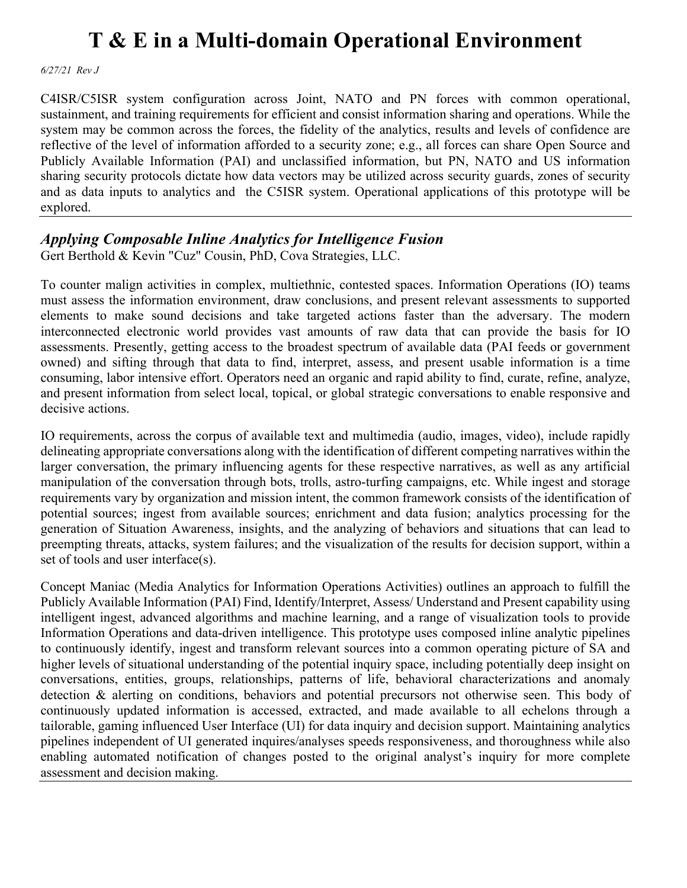*6/27/21 Rev J*

C4ISR/C5ISR system configuration across Joint, NATO and PN forces with common operational, sustainment, and training requirements for efficient and consist information sharing and operations. While the system may be common across the forces, the fidelity of the analytics, results and levels of confidence are reflective of the level of information afforded to a security zone; e.g., all forces can share Open Source and Publicly Available Information (PAI) and unclassified information, but PN, NATO and US information sharing security protocols dictate how data vectors may be utilized across security guards, zones of security and as data inputs to analytics and the C5ISR system. Operational applications of this prototype will be explored.

### *Applying Composable Inline Analytics for Intelligence Fusion*

Gert Berthold & Kevin "Cuz" Cousin, PhD, Cova Strategies, LLC.

To counter malign activities in complex, multiethnic, contested spaces. Information Operations (IO) teams must assess the information environment, draw conclusions, and present relevant assessments to supported elements to make sound decisions and take targeted actions faster than the adversary. The modern interconnected electronic world provides vast amounts of raw data that can provide the basis for IO assessments. Presently, getting access to the broadest spectrum of available data (PAI feeds or government owned) and sifting through that data to find, interpret, assess, and present usable information is a time consuming, labor intensive effort. Operators need an organic and rapid ability to find, curate, refine, analyze, and present information from select local, topical, or global strategic conversations to enable responsive and decisive actions.

IO requirements, across the corpus of available text and multimedia (audio, images, video), include rapidly delineating appropriate conversations along with the identification of different competing narratives within the larger conversation, the primary influencing agents for these respective narratives, as well as any artificial manipulation of the conversation through bots, trolls, astro-turfing campaigns, etc. While ingest and storage requirements vary by organization and mission intent, the common framework consists of the identification of potential sources; ingest from available sources; enrichment and data fusion; analytics processing for the generation of Situation Awareness, insights, and the analyzing of behaviors and situations that can lead to preempting threats, attacks, system failures; and the visualization of the results for decision support, within a set of tools and user interface(s).

Concept Maniac (Media Analytics for Information Operations Activities) outlines an approach to fulfill the Publicly Available Information (PAI) Find, Identify/Interpret, Assess/ Understand and Present capability using intelligent ingest, advanced algorithms and machine learning, and a range of visualization tools to provide Information Operations and data-driven intelligence. This prototype uses composed inline analytic pipelines to continuously identify, ingest and transform relevant sources into a common operating picture of SA and higher levels of situational understanding of the potential inquiry space, including potentially deep insight on conversations, entities, groups, relationships, patterns of life, behavioral characterizations and anomaly detection & alerting on conditions, behaviors and potential precursors not otherwise seen. This body of continuously updated information is accessed, extracted, and made available to all echelons through a tailorable, gaming influenced User Interface (UI) for data inquiry and decision support. Maintaining analytics pipelines independent of UI generated inquires/analyses speeds responsiveness, and thoroughness while also enabling automated notification of changes posted to the original analyst's inquiry for more complete assessment and decision making.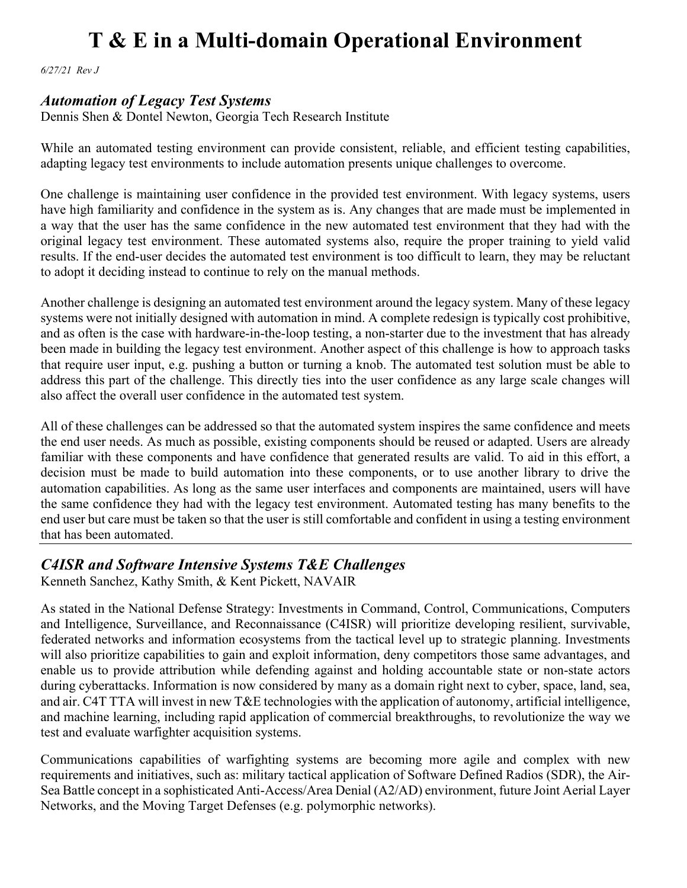*6/27/21 Rev J*

#### *Automation of Legacy Test Systems*

Dennis Shen & Dontel Newton, Georgia Tech Research Institute

While an automated testing environment can provide consistent, reliable, and efficient testing capabilities, adapting legacy test environments to include automation presents unique challenges to overcome.

One challenge is maintaining user confidence in the provided test environment. With legacy systems, users have high familiarity and confidence in the system as is. Any changes that are made must be implemented in a way that the user has the same confidence in the new automated test environment that they had with the original legacy test environment. These automated systems also, require the proper training to yield valid results. If the end-user decides the automated test environment is too difficult to learn, they may be reluctant to adopt it deciding instead to continue to rely on the manual methods.

Another challenge is designing an automated test environment around the legacy system. Many of these legacy systems were not initially designed with automation in mind. A complete redesign is typically cost prohibitive, and as often is the case with hardware-in-the-loop testing, a non-starter due to the investment that has already been made in building the legacy test environment. Another aspect of this challenge is how to approach tasks that require user input, e.g. pushing a button or turning a knob. The automated test solution must be able to address this part of the challenge. This directly ties into the user confidence as any large scale changes will also affect the overall user confidence in the automated test system.

All of these challenges can be addressed so that the automated system inspires the same confidence and meets the end user needs. As much as possible, existing components should be reused or adapted. Users are already familiar with these components and have confidence that generated results are valid. To aid in this effort, a decision must be made to build automation into these components, or to use another library to drive the automation capabilities. As long as the same user interfaces and components are maintained, users will have the same confidence they had with the legacy test environment. Automated testing has many benefits to the end user but care must be taken so that the user is still comfortable and confident in using a testing environment that has been automated.

### *C4ISR and Software Intensive Systems T&E Challenges*

Kenneth Sanchez, Kathy Smith, & Kent Pickett, NAVAIR

As stated in the National Defense Strategy: Investments in Command, Control, Communications, Computers and Intelligence, Surveillance, and Reconnaissance (C4ISR) will prioritize developing resilient, survivable, federated networks and information ecosystems from the tactical level up to strategic planning. Investments will also prioritize capabilities to gain and exploit information, deny competitors those same advantages, and enable us to provide attribution while defending against and holding accountable state or non-state actors during cyberattacks. Information is now considered by many as a domain right next to cyber, space, land, sea, and air. C4T TTA will invest in new T&E technologies with the application of autonomy, artificial intelligence, and machine learning, including rapid application of commercial breakthroughs, to revolutionize the way we test and evaluate warfighter acquisition systems.

Communications capabilities of warfighting systems are becoming more agile and complex with new requirements and initiatives, such as: military tactical application of Software Defined Radios (SDR), the Air-Sea Battle concept in a sophisticated Anti-Access/Area Denial (A2/AD) environment, future Joint Aerial Layer Networks, and the Moving Target Defenses (e.g. polymorphic networks).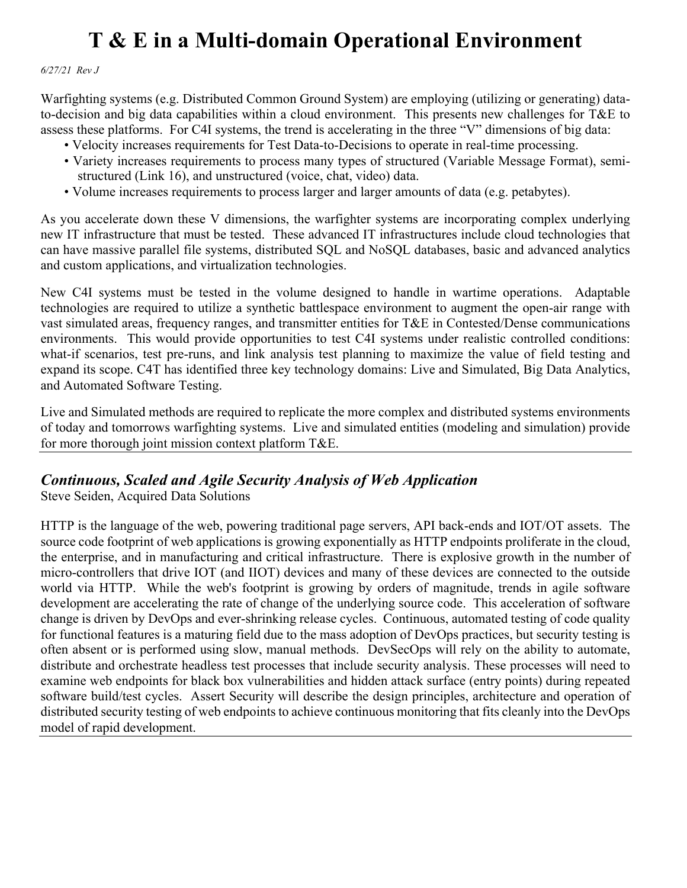*6/27/21 Rev J*

Warfighting systems (e.g. Distributed Common Ground System) are employing (utilizing or generating) datato-decision and big data capabilities within a cloud environment. This presents new challenges for T&E to assess these platforms. For C4I systems, the trend is accelerating in the three "V" dimensions of big data:

- Velocity increases requirements for Test Data-to-Decisions to operate in real-time processing.
- Variety increases requirements to process many types of structured (Variable Message Format), semi structured (Link 16), and unstructured (voice, chat, video) data.
- Volume increases requirements to process larger and larger amounts of data (e.g. petabytes).

As you accelerate down these V dimensions, the warfighter systems are incorporating complex underlying new IT infrastructure that must be tested. These advanced IT infrastructures include cloud technologies that can have massive parallel file systems, distributed SQL and NoSQL databases, basic and advanced analytics and custom applications, and virtualization technologies.

New C4I systems must be tested in the volume designed to handle in wartime operations. Adaptable technologies are required to utilize a synthetic battlespace environment to augment the open-air range with vast simulated areas, frequency ranges, and transmitter entities for T&E in Contested/Dense communications environments. This would provide opportunities to test C4I systems under realistic controlled conditions: what-if scenarios, test pre-runs, and link analysis test planning to maximize the value of field testing and expand its scope. C4T has identified three key technology domains: Live and Simulated, Big Data Analytics, and Automated Software Testing.

Live and Simulated methods are required to replicate the more complex and distributed systems environments of today and tomorrows warfighting systems. Live and simulated entities (modeling and simulation) provide for more thorough joint mission context platform T&E.

### *Continuous, Scaled and Agile Security Analysis of Web Application*

Steve Seiden, Acquired Data Solutions

HTTP is the language of the web, powering traditional page servers, API back-ends and IOT/OT assets. The source code footprint of web applications is growing exponentially as HTTP endpoints proliferate in the cloud, the enterprise, and in manufacturing and critical infrastructure. There is explosive growth in the number of micro-controllers that drive IOT (and IIOT) devices and many of these devices are connected to the outside world via HTTP. While the web's footprint is growing by orders of magnitude, trends in agile software development are accelerating the rate of change of the underlying source code. This acceleration of software change is driven by DevOps and ever-shrinking release cycles. Continuous, automated testing of code quality for functional features is a maturing field due to the mass adoption of DevOps practices, but security testing is often absent or is performed using slow, manual methods. DevSecOps will rely on the ability to automate, distribute and orchestrate headless test processes that include security analysis. These processes will need to examine web endpoints for black box vulnerabilities and hidden attack surface (entry points) during repeated software build/test cycles. Assert Security will describe the design principles, architecture and operation of distributed security testing of web endpoints to achieve continuous monitoring that fits cleanly into the DevOps model of rapid development.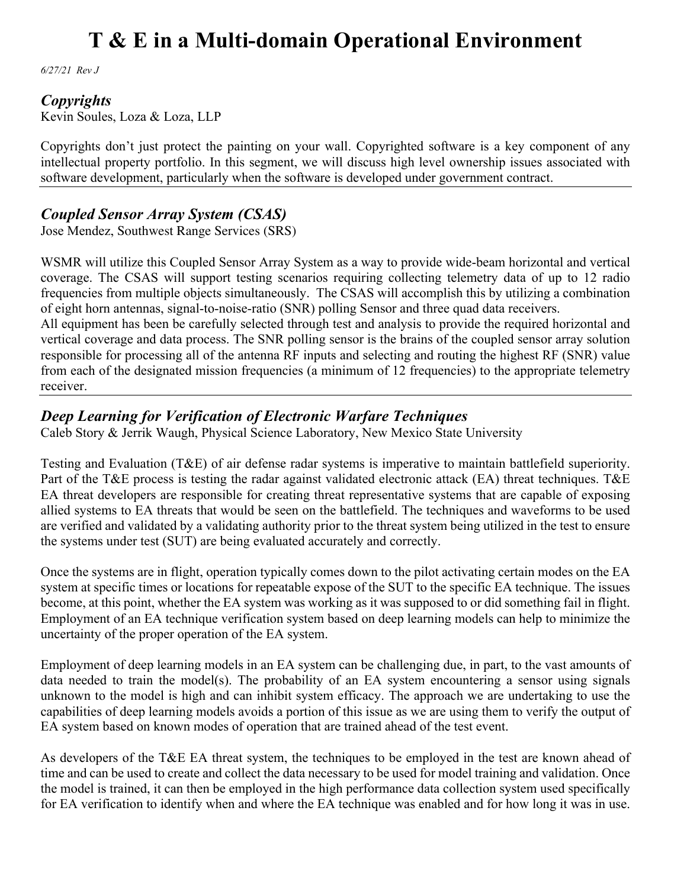*6/27/21 Rev J*

#### *Copyrights*

Kevin Soules, Loza & Loza, LLP

Copyrights don't just protect the painting on your wall. Copyrighted software is a key component of any intellectual property portfolio. In this segment, we will discuss high level ownership issues associated with software development, particularly when the software is developed under government contract.

### *Coupled Sensor Array System (CSAS)*

Jose Mendez, Southwest Range Services (SRS)

WSMR will utilize this Coupled Sensor Array System as a way to provide wide-beam horizontal and vertical coverage. The CSAS will support testing scenarios requiring collecting telemetry data of up to 12 radio frequencies from multiple objects simultaneously. The CSAS will accomplish this by utilizing a combination of eight horn antennas, signal-to-noise-ratio (SNR) polling Sensor and three quad data receivers.

All equipment has been be carefully selected through test and analysis to provide the required horizontal and vertical coverage and data process. The SNR polling sensor is the brains of the coupled sensor array solution responsible for processing all of the antenna RF inputs and selecting and routing the highest RF (SNR) value from each of the designated mission frequencies (a minimum of 12 frequencies) to the appropriate telemetry receiver.

### *Deep Learning for Verification of Electronic Warfare Techniques*

Caleb Story & Jerrik Waugh, Physical Science Laboratory, New Mexico State University

Testing and Evaluation (T&E) of air defense radar systems is imperative to maintain battlefield superiority. Part of the T&E process is testing the radar against validated electronic attack (EA) threat techniques. T&E EA threat developers are responsible for creating threat representative systems that are capable of exposing allied systems to EA threats that would be seen on the battlefield. The techniques and waveforms to be used are verified and validated by a validating authority prior to the threat system being utilized in the test to ensure the systems under test (SUT) are being evaluated accurately and correctly.

Once the systems are in flight, operation typically comes down to the pilot activating certain modes on the EA system at specific times or locations for repeatable expose of the SUT to the specific EA technique. The issues become, at this point, whether the EA system was working as it was supposed to or did something fail in flight. Employment of an EA technique verification system based on deep learning models can help to minimize the uncertainty of the proper operation of the EA system.

Employment of deep learning models in an EA system can be challenging due, in part, to the vast amounts of data needed to train the model(s). The probability of an EA system encountering a sensor using signals unknown to the model is high and can inhibit system efficacy. The approach we are undertaking to use the capabilities of deep learning models avoids a portion of this issue as we are using them to verify the output of EA system based on known modes of operation that are trained ahead of the test event.

As developers of the T&E EA threat system, the techniques to be employed in the test are known ahead of time and can be used to create and collect the data necessary to be used for model training and validation. Once the model is trained, it can then be employed in the high performance data collection system used specifically for EA verification to identify when and where the EA technique was enabled and for how long it was in use.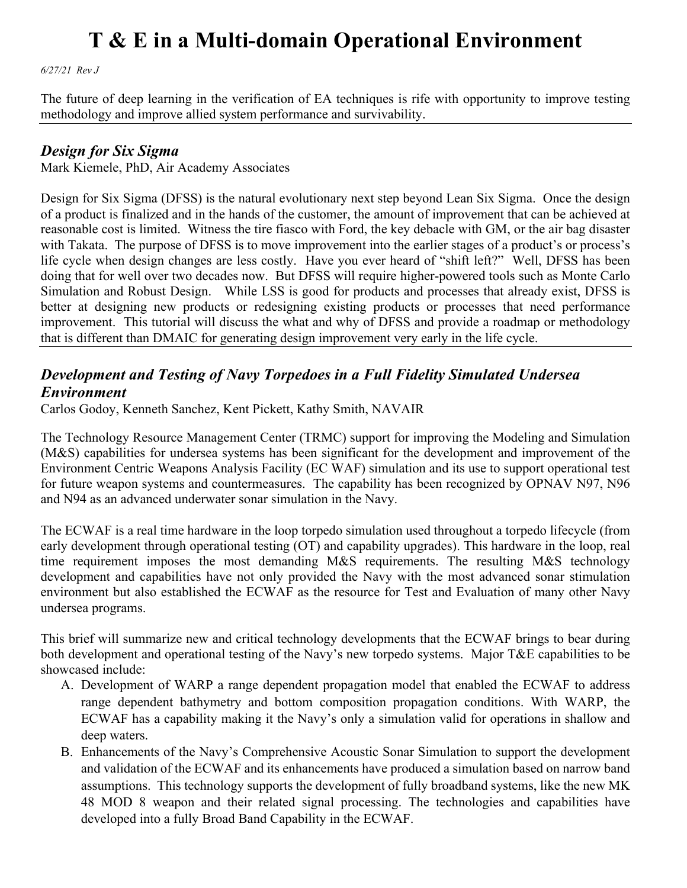*6/27/21 Rev J*

The future of deep learning in the verification of EA techniques is rife with opportunity to improve testing methodology and improve allied system performance and survivability.

#### *Design for Six Sigma*

Mark Kiemele, PhD, Air Academy Associates

Design for Six Sigma (DFSS) is the natural evolutionary next step beyond Lean Six Sigma. Once the design of a product is finalized and in the hands of the customer, the amount of improvement that can be achieved at reasonable cost is limited. Witness the tire fiasco with Ford, the key debacle with GM, or the air bag disaster with Takata. The purpose of DFSS is to move improvement into the earlier stages of a product's or process's life cycle when design changes are less costly. Have you ever heard of "shift left?" Well, DFSS has been doing that for well over two decades now. But DFSS will require higher-powered tools such as Monte Carlo Simulation and Robust Design. While LSS is good for products and processes that already exist, DFSS is better at designing new products or redesigning existing products or processes that need performance improvement. This tutorial will discuss the what and why of DFSS and provide a roadmap or methodology that is different than DMAIC for generating design improvement very early in the life cycle.

### *Development and Testing of Navy Torpedoes in a Full Fidelity Simulated Undersea Environment*

Carlos Godoy, Kenneth Sanchez, Kent Pickett, Kathy Smith, NAVAIR

The Technology Resource Management Center (TRMC) support for improving the Modeling and Simulation (M&S) capabilities for undersea systems has been significant for the development and improvement of the Environment Centric Weapons Analysis Facility (EC WAF) simulation and its use to support operational test for future weapon systems and countermeasures. The capability has been recognized by OPNAV N97, N96 and N94 as an advanced underwater sonar simulation in the Navy.

The ECWAF is a real time hardware in the loop torpedo simulation used throughout a torpedo lifecycle (from early development through operational testing (OT) and capability upgrades). This hardware in the loop, real time requirement imposes the most demanding M&S requirements. The resulting M&S technology development and capabilities have not only provided the Navy with the most advanced sonar stimulation environment but also established the ECWAF as the resource for Test and Evaluation of many other Navy undersea programs.

This brief will summarize new and critical technology developments that the ECWAF brings to bear during both development and operational testing of the Navy's new torpedo systems. Major T&E capabilities to be showcased include:

- A. Development of WARP a range dependent propagation model that enabled the ECWAF to address range dependent bathymetry and bottom composition propagation conditions. With WARP, the ECWAF has a capability making it the Navy's only a simulation valid for operations in shallow and deep waters.
- B. Enhancements of the Navy's Comprehensive Acoustic Sonar Simulation to support the development and validation of the ECWAF and its enhancements have produced a simulation based on narrow band assumptions. This technology supports the development of fully broadband systems, like the new MK 48 MOD 8 weapon and their related signal processing. The technologies and capabilities have developed into a fully Broad Band Capability in the ECWAF.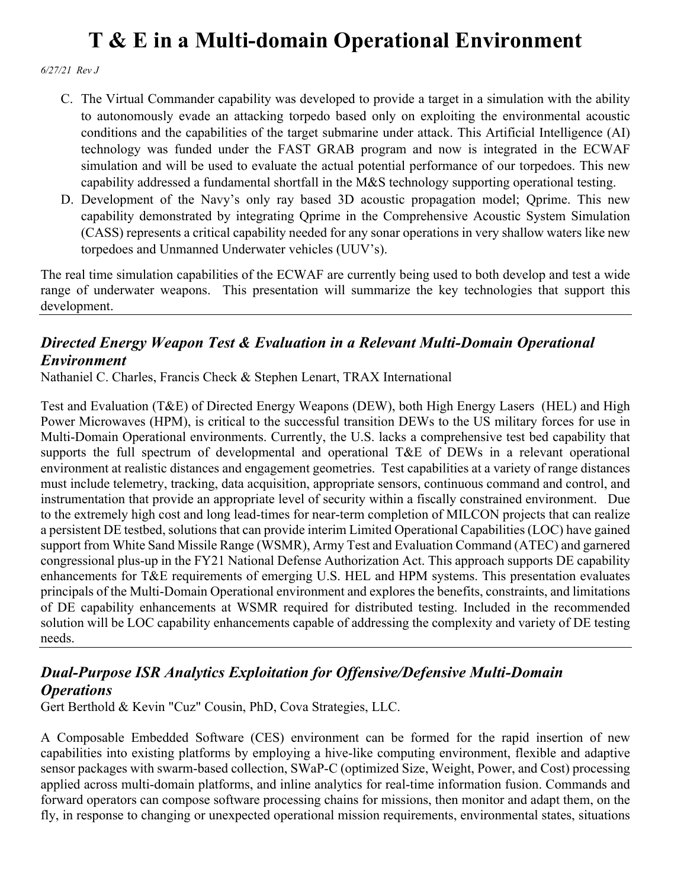*6/27/21 Rev J*

- C. The Virtual Commander capability was developed to provide a target in a simulation with the ability to autonomously evade an attacking torpedo based only on exploiting the environmental acoustic conditions and the capabilities of the target submarine under attack. This Artificial Intelligence (AI) technology was funded under the FAST GRAB program and now is integrated in the ECWAF simulation and will be used to evaluate the actual potential performance of our torpedoes. This new capability addressed a fundamental shortfall in the M&S technology supporting operational testing.
- D. Development of the Navy's only ray based 3D acoustic propagation model; Qprime. This new capability demonstrated by integrating Qprime in the Comprehensive Acoustic System Simulation (CASS) represents a critical capability needed for any sonar operations in very shallow waters like new torpedoes and Unmanned Underwater vehicles (UUV's).

The real time simulation capabilities of the ECWAF are currently being used to both develop and test a wide range of underwater weapons. This presentation will summarize the key technologies that support this development.

## *Directed Energy Weapon Test & Evaluation in a Relevant Multi-Domain Operational Environment*

Nathaniel C. Charles, Francis Check & Stephen Lenart, TRAX International

Test and Evaluation (T&E) of Directed Energy Weapons (DEW), both High Energy Lasers (HEL) and High Power Microwaves (HPM), is critical to the successful transition DEWs to the US military forces for use in Multi-Domain Operational environments. Currently, the U.S. lacks a comprehensive test bed capability that supports the full spectrum of developmental and operational T&E of DEWs in a relevant operational environment at realistic distances and engagement geometries. Test capabilities at a variety of range distances must include telemetry, tracking, data acquisition, appropriate sensors, continuous command and control, and instrumentation that provide an appropriate level of security within a fiscally constrained environment. Due to the extremely high cost and long lead-times for near-term completion of MILCON projects that can realize a persistent DE testbed, solutions that can provide interim Limited Operational Capabilities (LOC) have gained support from White Sand Missile Range (WSMR), Army Test and Evaluation Command (ATEC) and garnered congressional plus-up in the FY21 National Defense Authorization Act. This approach supports DE capability enhancements for T&E requirements of emerging U.S. HEL and HPM systems. This presentation evaluates principals of the Multi-Domain Operational environment and explores the benefits, constraints, and limitations of DE capability enhancements at WSMR required for distributed testing. Included in the recommended solution will be LOC capability enhancements capable of addressing the complexity and variety of DE testing needs.

### *Dual-Purpose ISR Analytics Exploitation for Offensive/Defensive Multi-Domain Operations*

Gert Berthold & Kevin "Cuz" Cousin, PhD, Cova Strategies, LLC.

A Composable Embedded Software (CES) environment can be formed for the rapid insertion of new capabilities into existing platforms by employing a hive-like computing environment, flexible and adaptive sensor packages with swarm-based collection, SWaP-C (optimized Size, Weight, Power, and Cost) processing applied across multi-domain platforms, and inline analytics for real-time information fusion. Commands and forward operators can compose software processing chains for missions, then monitor and adapt them, on the fly, in response to changing or unexpected operational mission requirements, environmental states, situations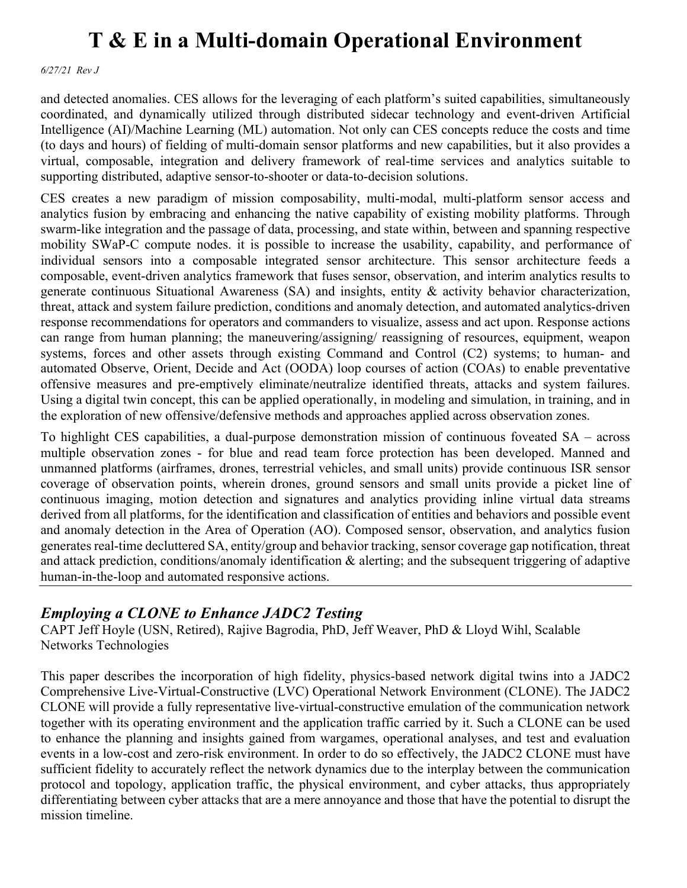*6/27/21 Rev J*

and detected anomalies. CES allows for the leveraging of each platform's suited capabilities, simultaneously coordinated, and dynamically utilized through distributed sidecar technology and event-driven Artificial Intelligence (AI)/Machine Learning (ML) automation. Not only can CES concepts reduce the costs and time (to days and hours) of fielding of multi-domain sensor platforms and new capabilities, but it also provides a virtual, composable, integration and delivery framework of real-time services and analytics suitable to supporting distributed, adaptive sensor-to-shooter or data-to-decision solutions.

CES creates a new paradigm of mission composability, multi-modal, multi-platform sensor access and analytics fusion by embracing and enhancing the native capability of existing mobility platforms. Through swarm-like integration and the passage of data, processing, and state within, between and spanning respective mobility SWaP-C compute nodes. it is possible to increase the usability, capability, and performance of individual sensors into a composable integrated sensor architecture. This sensor architecture feeds a composable, event-driven analytics framework that fuses sensor, observation, and interim analytics results to generate continuous Situational Awareness (SA) and insights, entity & activity behavior characterization, threat, attack and system failure prediction, conditions and anomaly detection, and automated analytics-driven response recommendations for operators and commanders to visualize, assess and act upon. Response actions can range from human planning; the maneuvering/assigning/ reassigning of resources, equipment, weapon systems, forces and other assets through existing Command and Control (C2) systems; to human- and automated Observe, Orient, Decide and Act (OODA) loop courses of action (COAs) to enable preventative offensive measures and pre-emptively eliminate/neutralize identified threats, attacks and system failures. Using a digital twin concept, this can be applied operationally, in modeling and simulation, in training, and in the exploration of new offensive/defensive methods and approaches applied across observation zones.

To highlight CES capabilities, a dual-purpose demonstration mission of continuous foveated SA – across multiple observation zones - for blue and read team force protection has been developed. Manned and unmanned platforms (airframes, drones, terrestrial vehicles, and small units) provide continuous ISR sensor coverage of observation points, wherein drones, ground sensors and small units provide a picket line of continuous imaging, motion detection and signatures and analytics providing inline virtual data streams derived from all platforms, for the identification and classification of entities and behaviors and possible event and anomaly detection in the Area of Operation (AO). Composed sensor, observation, and analytics fusion generates real-time decluttered SA, entity/group and behavior tracking, sensor coverage gap notification, threat and attack prediction, conditions/anomaly identification & alerting; and the subsequent triggering of adaptive human-in-the-loop and automated responsive actions.

### *Employing a CLONE to Enhance JADC2 Testing*

CAPT Jeff Hoyle (USN, Retired), Rajive Bagrodia, PhD, Jeff Weaver, PhD & Lloyd Wihl, Scalable Networks Technologies

This paper describes the incorporation of high fidelity, physics-based network digital twins into a JADC2 Comprehensive Live-Virtual-Constructive (LVC) Operational Network Environment (CLONE). The JADC2 CLONE will provide a fully representative live-virtual-constructive emulation of the communication network together with its operating environment and the application traffic carried by it. Such a CLONE can be used to enhance the planning and insights gained from wargames, operational analyses, and test and evaluation events in a low-cost and zero-risk environment. In order to do so effectively, the JADC2 CLONE must have sufficient fidelity to accurately reflect the network dynamics due to the interplay between the communication protocol and topology, application traffic, the physical environment, and cyber attacks, thus appropriately differentiating between cyber attacks that are a mere annoyance and those that have the potential to disrupt the mission timeline.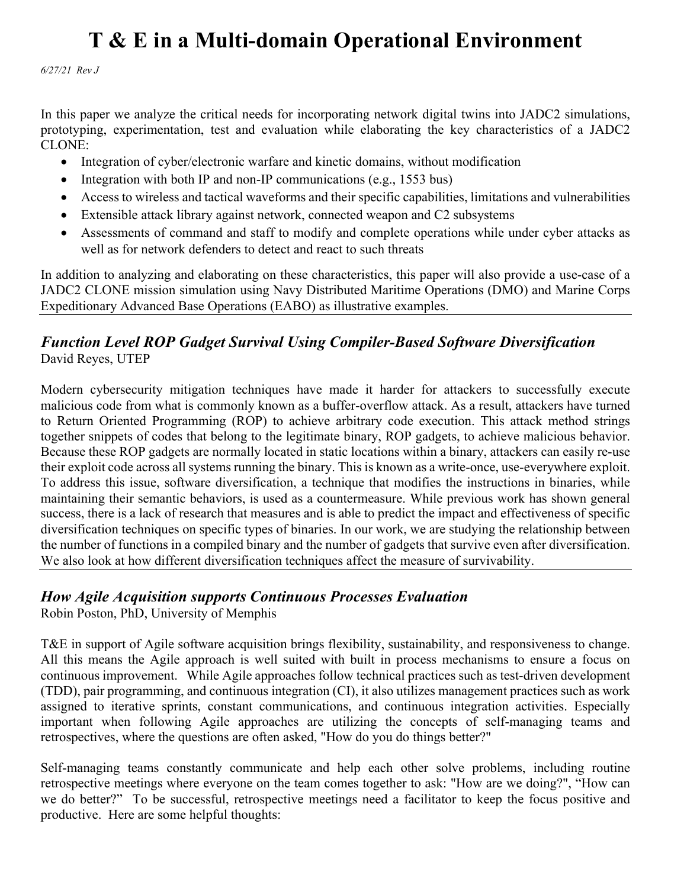*6/27/21 Rev J*

In this paper we analyze the critical needs for incorporating network digital twins into JADC2 simulations, prototyping, experimentation, test and evaluation while elaborating the key characteristics of a JADC2 CLONE:

- Integration of cyber/electronic warfare and kinetic domains, without modification
- Integration with both IP and non-IP communications (e.g., 1553 bus)
- Access to wireless and tactical waveforms and their specific capabilities, limitations and vulnerabilities
- Extensible attack library against network, connected weapon and C2 subsystems
- Assessments of command and staff to modify and complete operations while under cyber attacks as well as for network defenders to detect and react to such threats

In addition to analyzing and elaborating on these characteristics, this paper will also provide a use-case of a JADC2 CLONE mission simulation using Navy Distributed Maritime Operations (DMO) and Marine Corps Expeditionary Advanced Base Operations (EABO) as illustrative examples.

### *Function Level ROP Gadget Survival Using Compiler-Based Software Diversification* David Reyes, UTEP

Modern cybersecurity mitigation techniques have made it harder for attackers to successfully execute malicious code from what is commonly known as a buffer-overflow attack. As a result, attackers have turned to Return Oriented Programming (ROP) to achieve arbitrary code execution. This attack method strings together snippets of codes that belong to the legitimate binary, ROP gadgets, to achieve malicious behavior. Because these ROP gadgets are normally located in static locations within a binary, attackers can easily re-use their exploit code across all systems running the binary. This is known as a write-once, use-everywhere exploit. To address this issue, software diversification, a technique that modifies the instructions in binaries, while maintaining their semantic behaviors, is used as a countermeasure. While previous work has shown general success, there is a lack of research that measures and is able to predict the impact and effectiveness of specific diversification techniques on specific types of binaries. In our work, we are studying the relationship between the number of functions in a compiled binary and the number of gadgets that survive even after diversification. We also look at how different diversification techniques affect the measure of survivability.

### *How Agile Acquisition supports Continuous Processes Evaluation*

Robin Poston, PhD, University of Memphis

T&E in support of Agile software acquisition brings flexibility, sustainability, and responsiveness to change. All this means the Agile approach is well suited with built in process mechanisms to ensure a focus on continuous improvement. While Agile approaches follow technical practices such as test-driven development (TDD), pair programming, and continuous integration (CI), it also utilizes management practices such as work assigned to iterative sprints, constant communications, and continuous integration activities. Especially important when following Agile approaches are utilizing the concepts of self-managing teams and retrospectives, where the questions are often asked, "How do you do things better?"

Self-managing teams constantly communicate and help each other solve problems, including routine retrospective meetings where everyone on the team comes together to ask: "How are we doing?", "How can we do better?" To be successful, retrospective meetings need a facilitator to keep the focus positive and productive. Here are some helpful thoughts: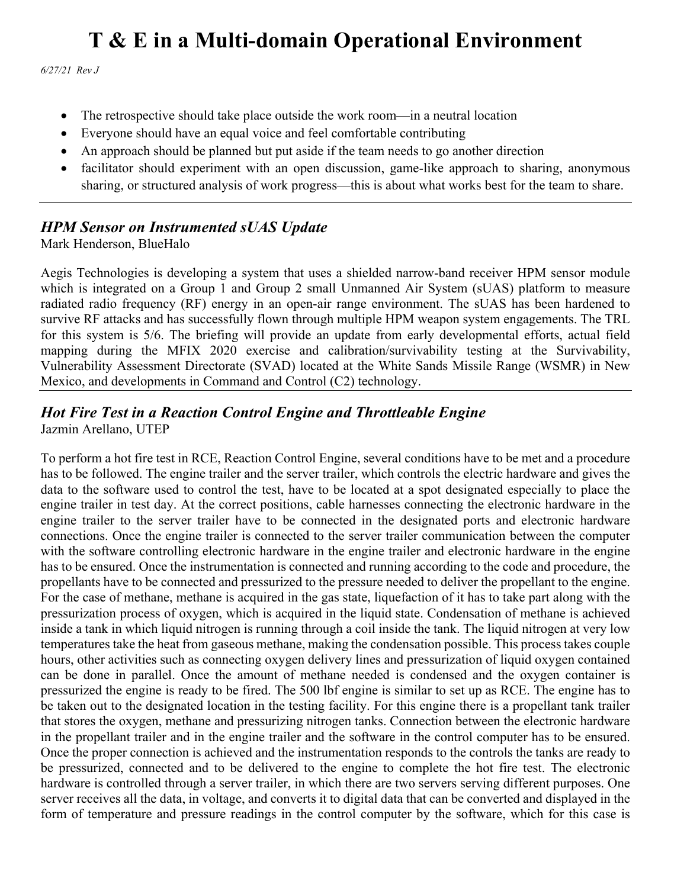*6/27/21 Rev J*

- The retrospective should take place outside the work room—in a neutral location
- Everyone should have an equal voice and feel comfortable contributing
- An approach should be planned but put aside if the team needs to go another direction
- facilitator should experiment with an open discussion, game-like approach to sharing, anonymous sharing, or structured analysis of work progress—this is about what works best for the team to share.

### *HPM Sensor on Instrumented sUAS Update*

Mark Henderson, BlueHalo

Aegis Technologies is developing a system that uses a shielded narrow-band receiver HPM sensor module which is integrated on a Group 1 and Group 2 small Unmanned Air System (sUAS) platform to measure radiated radio frequency (RF) energy in an open-air range environment. The sUAS has been hardened to survive RF attacks and has successfully flown through multiple HPM weapon system engagements. The TRL for this system is 5/6. The briefing will provide an update from early developmental efforts, actual field mapping during the MFIX 2020 exercise and calibration/survivability testing at the Survivability, Vulnerability Assessment Directorate (SVAD) located at the White Sands Missile Range (WSMR) in New Mexico, and developments in Command and Control (C2) technology.

#### *Hot Fire Test in a Reaction Control Engine and Throttleable Engine* Jazmin Arellano, UTEP

To perform a hot fire test in RCE, Reaction Control Engine, several conditions have to be met and a procedure has to be followed. The engine trailer and the server trailer, which controls the electric hardware and gives the data to the software used to control the test, have to be located at a spot designated especially to place the engine trailer in test day. At the correct positions, cable harnesses connecting the electronic hardware in the engine trailer to the server trailer have to be connected in the designated ports and electronic hardware connections. Once the engine trailer is connected to the server trailer communication between the computer with the software controlling electronic hardware in the engine trailer and electronic hardware in the engine has to be ensured. Once the instrumentation is connected and running according to the code and procedure, the propellants have to be connected and pressurized to the pressure needed to deliver the propellant to the engine. For the case of methane, methane is acquired in the gas state, liquefaction of it has to take part along with the pressurization process of oxygen, which is acquired in the liquid state. Condensation of methane is achieved inside a tank in which liquid nitrogen is running through a coil inside the tank. The liquid nitrogen at very low temperatures take the heat from gaseous methane, making the condensation possible. This process takes couple hours, other activities such as connecting oxygen delivery lines and pressurization of liquid oxygen contained can be done in parallel. Once the amount of methane needed is condensed and the oxygen container is pressurized the engine is ready to be fired. The 500 lbf engine is similar to set up as RCE. The engine has to be taken out to the designated location in the testing facility. For this engine there is a propellant tank trailer that stores the oxygen, methane and pressurizing nitrogen tanks. Connection between the electronic hardware in the propellant trailer and in the engine trailer and the software in the control computer has to be ensured. Once the proper connection is achieved and the instrumentation responds to the controls the tanks are ready to be pressurized, connected and to be delivered to the engine to complete the hot fire test. The electronic hardware is controlled through a server trailer, in which there are two servers serving different purposes. One server receives all the data, in voltage, and converts it to digital data that can be converted and displayed in the form of temperature and pressure readings in the control computer by the software, which for this case is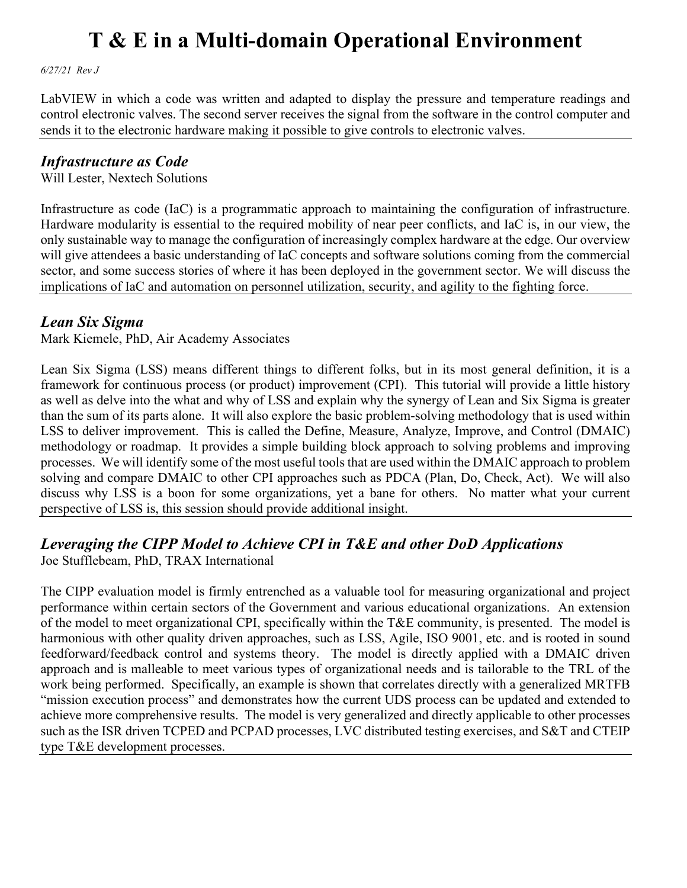*6/27/21 Rev J*

LabVIEW in which a code was written and adapted to display the pressure and temperature readings and control electronic valves. The second server receives the signal from the software in the control computer and sends it to the electronic hardware making it possible to give controls to electronic valves.

### *Infrastructure as Code*

Will Lester, Nextech Solutions

Infrastructure as code (IaC) is a programmatic approach to maintaining the configuration of infrastructure. Hardware modularity is essential to the required mobility of near peer conflicts, and IaC is, in our view, the only sustainable way to manage the configuration of increasingly complex hardware at the edge. Our overview will give attendees a basic understanding of IaC concepts and software solutions coming from the commercial sector, and some success stories of where it has been deployed in the government sector. We will discuss the implications of IaC and automation on personnel utilization, security, and agility to the fighting force.

### *Lean Six Sigma*

Mark Kiemele, PhD, Air Academy Associates

Lean Six Sigma (LSS) means different things to different folks, but in its most general definition, it is a framework for continuous process (or product) improvement (CPI). This tutorial will provide a little history as well as delve into the what and why of LSS and explain why the synergy of Lean and Six Sigma is greater than the sum of its parts alone. It will also explore the basic problem-solving methodology that is used within LSS to deliver improvement. This is called the Define, Measure, Analyze, Improve, and Control (DMAIC) methodology or roadmap. It provides a simple building block approach to solving problems and improving processes. We will identify some of the most useful tools that are used within the DMAIC approach to problem solving and compare DMAIC to other CPI approaches such as PDCA (Plan, Do, Check, Act). We will also discuss why LSS is a boon for some organizations, yet a bane for others. No matter what your current perspective of LSS is, this session should provide additional insight.

## *Leveraging the CIPP Model to Achieve CPI in T&E and other DoD Applications*

Joe Stufflebeam, PhD, TRAX International

The CIPP evaluation model is firmly entrenched as a valuable tool for measuring organizational and project performance within certain sectors of the Government and various educational organizations. An extension of the model to meet organizational CPI, specifically within the T&E community, is presented. The model is harmonious with other quality driven approaches, such as LSS, Agile, ISO 9001, etc. and is rooted in sound feedforward/feedback control and systems theory. The model is directly applied with a DMAIC driven approach and is malleable to meet various types of organizational needs and is tailorable to the TRL of the work being performed. Specifically, an example is shown that correlates directly with a generalized MRTFB "mission execution process" and demonstrates how the current UDS process can be updated and extended to achieve more comprehensive results. The model is very generalized and directly applicable to other processes such as the ISR driven TCPED and PCPAD processes, LVC distributed testing exercises, and S&T and CTEIP type T&E development processes.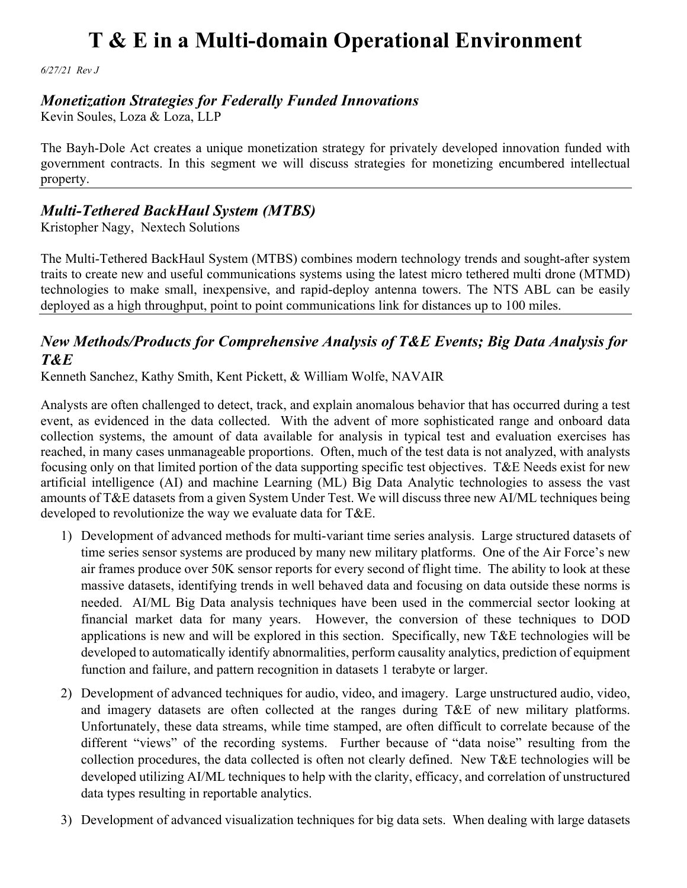*6/27/21 Rev J*

### *Monetization Strategies for Federally Funded Innovations*

Kevin Soules, Loza & Loza, LLP

The Bayh-Dole Act creates a unique monetization strategy for privately developed innovation funded with government contracts. In this segment we will discuss strategies for monetizing encumbered intellectual property.

### *Multi-Tethered BackHaul System (MTBS)*

Kristopher Nagy, Nextech Solutions

The Multi-Tethered BackHaul System (MTBS) combines modern technology trends and sought-after system traits to create new and useful communications systems using the latest micro tethered multi drone (MTMD) technologies to make small, inexpensive, and rapid-deploy antenna towers. The NTS ABL can be easily deployed as a high throughput, point to point communications link for distances up to 100 miles.

### *New Methods/Products for Comprehensive Analysis of T&E Events; Big Data Analysis for T&E*

Kenneth Sanchez, Kathy Smith, Kent Pickett, & William Wolfe, NAVAIR

Analysts are often challenged to detect, track, and explain anomalous behavior that has occurred during a test event, as evidenced in the data collected. With the advent of more sophisticated range and onboard data collection systems, the amount of data available for analysis in typical test and evaluation exercises has reached, in many cases unmanageable proportions. Often, much of the test data is not analyzed, with analysts focusing only on that limited portion of the data supporting specific test objectives. T&E Needs exist for new artificial intelligence (AI) and machine Learning (ML) Big Data Analytic technologies to assess the vast amounts of T&E datasets from a given System Under Test. We will discuss three new AI/ML techniques being developed to revolutionize the way we evaluate data for T&E.

- 1) Development of advanced methods for multi-variant time series analysis. Large structured datasets of time series sensor systems are produced by many new military platforms. One of the Air Force's new air frames produce over 50K sensor reports for every second of flight time. The ability to look at these massive datasets, identifying trends in well behaved data and focusing on data outside these norms is needed. AI/ML Big Data analysis techniques have been used in the commercial sector looking at financial market data for many years. However, the conversion of these techniques to DOD applications is new and will be explored in this section. Specifically, new T&E technologies will be developed to automatically identify abnormalities, perform causality analytics, prediction of equipment function and failure, and pattern recognition in datasets 1 terabyte or larger.
- 2) Development of advanced techniques for audio, video, and imagery. Large unstructured audio, video, and imagery datasets are often collected at the ranges during T&E of new military platforms. Unfortunately, these data streams, while time stamped, are often difficult to correlate because of the different "views" of the recording systems. Further because of "data noise" resulting from the collection procedures, the data collected is often not clearly defined. New T&E technologies will be developed utilizing AI/ML techniques to help with the clarity, efficacy, and correlation of unstructured data types resulting in reportable analytics.
- 3) Development of advanced visualization techniques for big data sets. When dealing with large datasets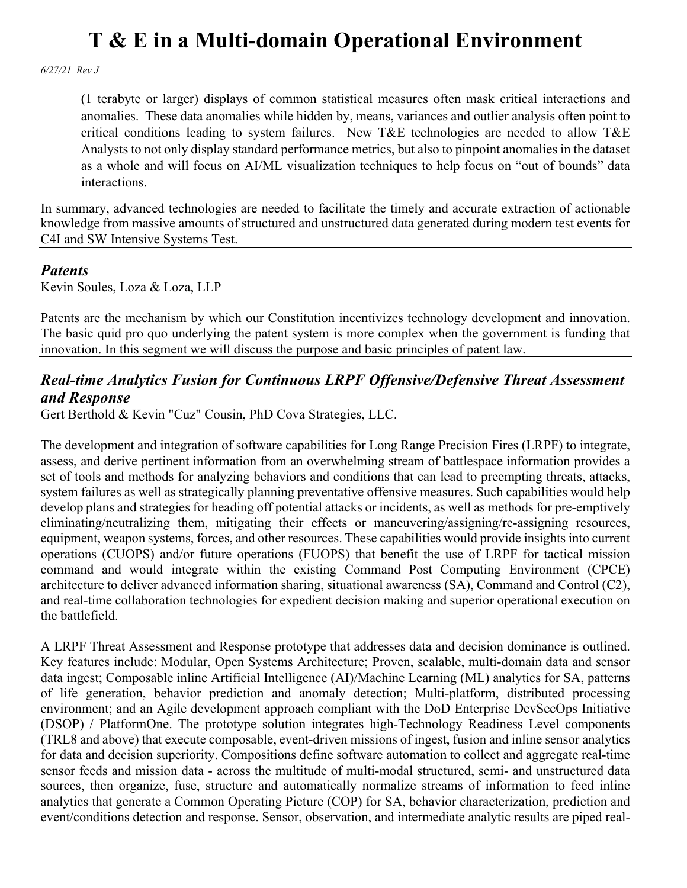*6/27/21 Rev J*

(1 terabyte or larger) displays of common statistical measures often mask critical interactions and anomalies. These data anomalies while hidden by, means, variances and outlier analysis often point to critical conditions leading to system failures. New T&E technologies are needed to allow T&E Analysts to not only display standard performance metrics, but also to pinpoint anomalies in the dataset as a whole and will focus on AI/ML visualization techniques to help focus on "out of bounds" data interactions.

In summary, advanced technologies are needed to facilitate the timely and accurate extraction of actionable knowledge from massive amounts of structured and unstructured data generated during modern test events for C4I and SW Intensive Systems Test.

### *Patents*

Kevin Soules, Loza & Loza, LLP

Patents are the mechanism by which our Constitution incentivizes technology development and innovation. The basic quid pro quo underlying the patent system is more complex when the government is funding that innovation. In this segment we will discuss the purpose and basic principles of patent law.

### *Real-time Analytics Fusion for Continuous LRPF Offensive/Defensive Threat Assessment and Response*

Gert Berthold & Kevin "Cuz" Cousin, PhD Cova Strategies, LLC.

The development and integration of software capabilities for Long Range Precision Fires (LRPF) to integrate, assess, and derive pertinent information from an overwhelming stream of battlespace information provides a set of tools and methods for analyzing behaviors and conditions that can lead to preempting threats, attacks, system failures as well as strategically planning preventative offensive measures. Such capabilities would help develop plans and strategies for heading off potential attacks or incidents, as well as methods for pre-emptively eliminating/neutralizing them, mitigating their effects or maneuvering/assigning/re-assigning resources, equipment, weapon systems, forces, and other resources. These capabilities would provide insights into current operations (CUOPS) and/or future operations (FUOPS) that benefit the use of LRPF for tactical mission command and would integrate within the existing Command Post Computing Environment (CPCE) architecture to deliver advanced information sharing, situational awareness (SA), Command and Control (C2), and real-time collaboration technologies for expedient decision making and superior operational execution on the battlefield.

A LRPF Threat Assessment and Response prototype that addresses data and decision dominance is outlined. Key features include: Modular, Open Systems Architecture; Proven, scalable, multi-domain data and sensor data ingest; Composable inline Artificial Intelligence (AI)/Machine Learning (ML) analytics for SA, patterns of life generation, behavior prediction and anomaly detection; Multi-platform, distributed processing environment; and an Agile development approach compliant with the DoD Enterprise DevSecOps Initiative (DSOP) / PlatformOne. The prototype solution integrates high-Technology Readiness Level components (TRL8 and above) that execute composable, event-driven missions of ingest, fusion and inline sensor analytics for data and decision superiority. Compositions define software automation to collect and aggregate real-time sensor feeds and mission data - across the multitude of multi-modal structured, semi- and unstructured data sources, then organize, fuse, structure and automatically normalize streams of information to feed inline analytics that generate a Common Operating Picture (COP) for SA, behavior characterization, prediction and event/conditions detection and response. Sensor, observation, and intermediate analytic results are piped real-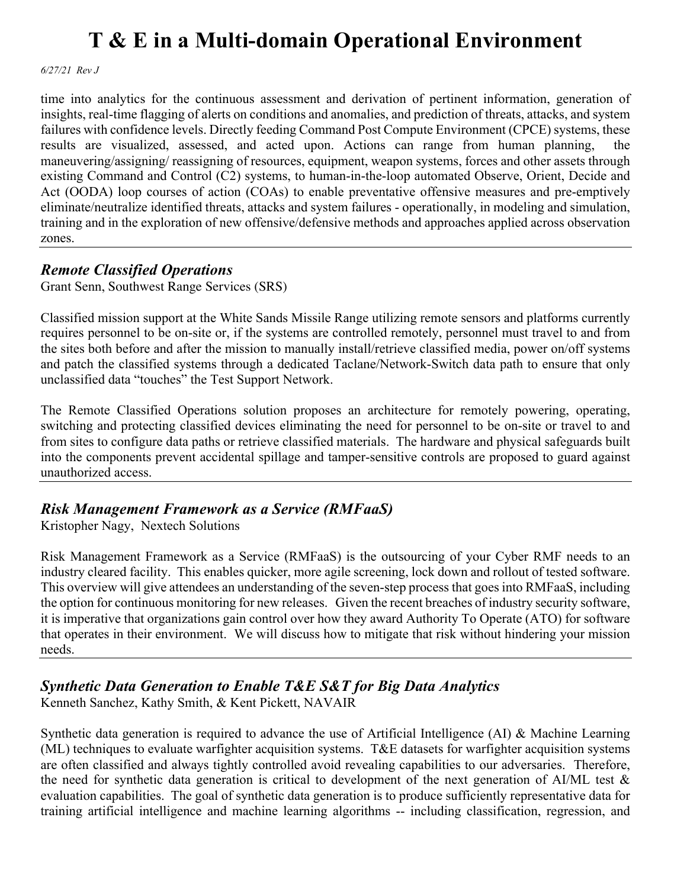*6/27/21 Rev J*

time into analytics for the continuous assessment and derivation of pertinent information, generation of insights, real-time flagging of alerts on conditions and anomalies, and prediction of threats, attacks, and system failures with confidence levels. Directly feeding Command Post Compute Environment (CPCE) systems, these results are visualized, assessed, and acted upon. Actions can range from human planning, maneuvering/assigning/ reassigning of resources, equipment, weapon systems, forces and other assets through existing Command and Control (C2) systems, to human-in-the-loop automated Observe, Orient, Decide and Act (OODA) loop courses of action (COAs) to enable preventative offensive measures and pre-emptively eliminate/neutralize identified threats, attacks and system failures - operationally, in modeling and simulation, training and in the exploration of new offensive/defensive methods and approaches applied across observation zones.

### *Remote Classified Operations*

Grant Senn, Southwest Range Services (SRS)

Classified mission support at the White Sands Missile Range utilizing remote sensors and platforms currently requires personnel to be on-site or, if the systems are controlled remotely, personnel must travel to and from the sites both before and after the mission to manually install/retrieve classified media, power on/off systems and patch the classified systems through a dedicated Taclane/Network-Switch data path to ensure that only unclassified data "touches" the Test Support Network.

The Remote Classified Operations solution proposes an architecture for remotely powering, operating, switching and protecting classified devices eliminating the need for personnel to be on-site or travel to and from sites to configure data paths or retrieve classified materials. The hardware and physical safeguards built into the components prevent accidental spillage and tamper-sensitive controls are proposed to guard against unauthorized access.

### *Risk Management Framework as a Service (RMFaaS)*

Kristopher Nagy, Nextech Solutions

Risk Management Framework as a Service (RMFaaS) is the outsourcing of your Cyber RMF needs to an industry cleared facility. This enables quicker, more agile screening, lock down and rollout of tested software. This overview will give attendees an understanding of the seven-step process that goes into RMFaaS, including the option for continuous monitoring for new releases. Given the recent breaches of industry security software, it is imperative that organizations gain control over how they award Authority To Operate (ATO) for software that operates in their environment. We will discuss how to mitigate that risk without hindering your mission needs.

# *Synthetic Data Generation to Enable T&E S&T for Big Data Analytics*

Kenneth Sanchez, Kathy Smith, & Kent Pickett, NAVAIR

Synthetic data generation is required to advance the use of Artificial Intelligence (AI) & Machine Learning (ML) techniques to evaluate warfighter acquisition systems. T&E datasets for warfighter acquisition systems are often classified and always tightly controlled avoid revealing capabilities to our adversaries. Therefore, the need for synthetic data generation is critical to development of the next generation of AI/ML test & evaluation capabilities. The goal of synthetic data generation is to produce sufficiently representative data for training artificial intelligence and machine learning algorithms -- including classification, regression, and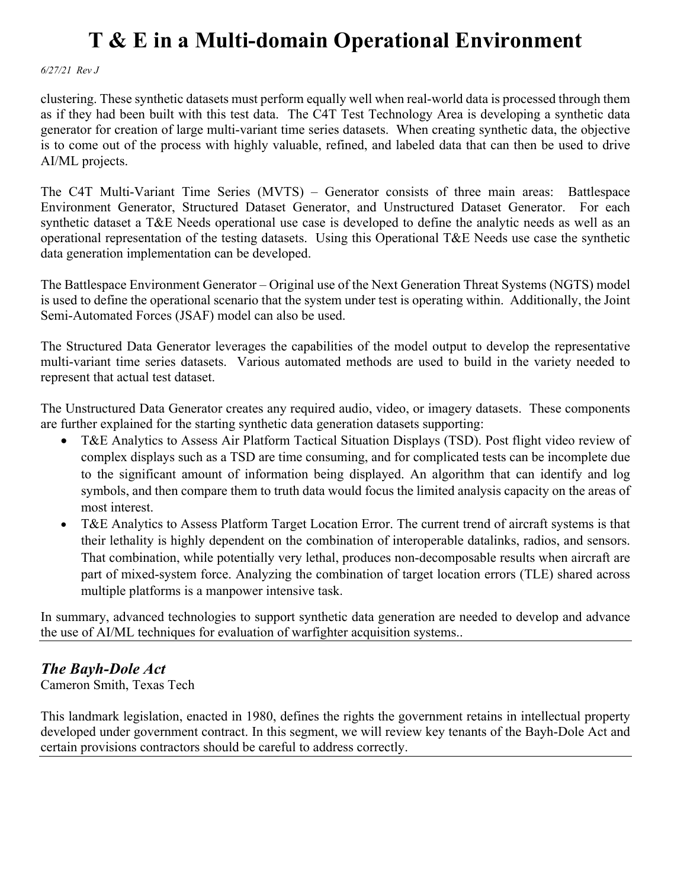*6/27/21 Rev J*

clustering. These synthetic datasets must perform equally well when real-world data is processed through them as if they had been built with this test data. The C4T Test Technology Area is developing a synthetic data generator for creation of large multi-variant time series datasets. When creating synthetic data, the objective is to come out of the process with highly valuable, refined, and labeled data that can then be used to drive AI/ML projects.

The C4T Multi-Variant Time Series (MVTS) – Generator consists of three main areas: Battlespace Environment Generator, Structured Dataset Generator, and Unstructured Dataset Generator. For each synthetic dataset a T&E Needs operational use case is developed to define the analytic needs as well as an operational representation of the testing datasets. Using this Operational T&E Needs use case the synthetic data generation implementation can be developed.

The Battlespace Environment Generator – Original use of the Next Generation Threat Systems (NGTS) model is used to define the operational scenario that the system under test is operating within. Additionally, the Joint Semi-Automated Forces (JSAF) model can also be used.

The Structured Data Generator leverages the capabilities of the model output to develop the representative multi-variant time series datasets. Various automated methods are used to build in the variety needed to represent that actual test dataset.

The Unstructured Data Generator creates any required audio, video, or imagery datasets. These components are further explained for the starting synthetic data generation datasets supporting:

- T&E Analytics to Assess Air Platform Tactical Situation Displays (TSD). Post flight video review of complex displays such as a TSD are time consuming, and for complicated tests can be incomplete due to the significant amount of information being displayed. An algorithm that can identify and log symbols, and then compare them to truth data would focus the limited analysis capacity on the areas of most interest.
- T&E Analytics to Assess Platform Target Location Error. The current trend of aircraft systems is that their lethality is highly dependent on the combination of interoperable datalinks, radios, and sensors. That combination, while potentially very lethal, produces non-decomposable results when aircraft are part of mixed-system force. Analyzing the combination of target location errors (TLE) shared across multiple platforms is a manpower intensive task.

In summary, advanced technologies to support synthetic data generation are needed to develop and advance the use of AI/ML techniques for evaluation of warfighter acquisition systems..

### *The Bayh-Dole Act*

Cameron Smith, Texas Tech

This landmark legislation, enacted in 1980, defines the rights the government retains in intellectual property developed under government contract. In this segment, we will review key tenants of the Bayh-Dole Act and certain provisions contractors should be careful to address correctly.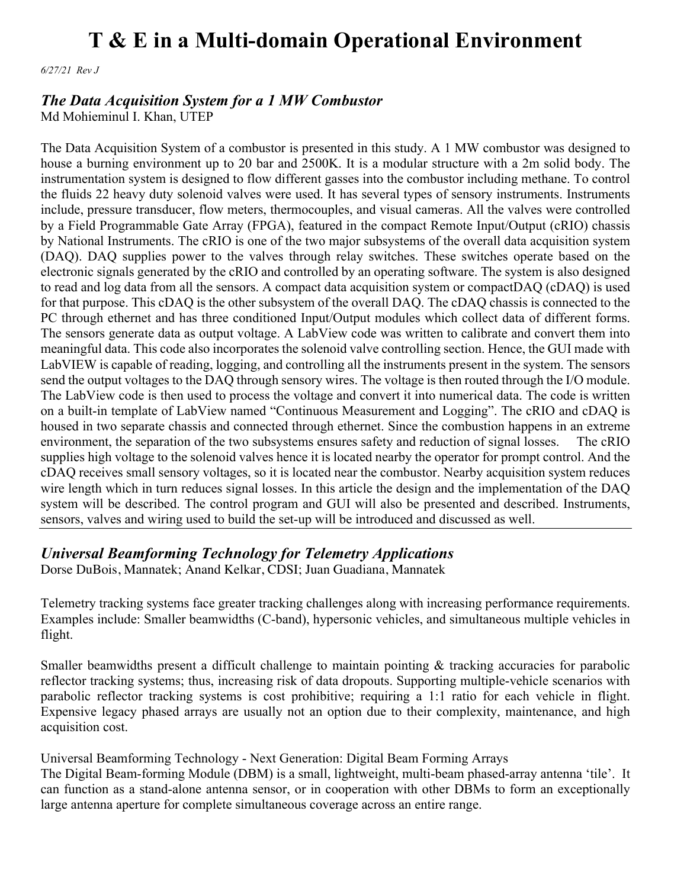*6/27/21 Rev J*

#### *The Data Acquisition System for a 1 MW Combustor*

Md Mohieminul I. Khan, UTEP

The Data Acquisition System of a combustor is presented in this study. A 1 MW combustor was designed to house a burning environment up to 20 bar and 2500K. It is a modular structure with a 2m solid body. The instrumentation system is designed to flow different gasses into the combustor including methane. To control the fluids 22 heavy duty solenoid valves were used. It has several types of sensory instruments. Instruments include, pressure transducer, flow meters, thermocouples, and visual cameras. All the valves were controlled by a Field Programmable Gate Array (FPGA), featured in the compact Remote Input/Output (cRIO) chassis by National Instruments. The cRIO is one of the two major subsystems of the overall data acquisition system (DAQ). DAQ supplies power to the valves through relay switches. These switches operate based on the electronic signals generated by the cRIO and controlled by an operating software. The system is also designed to read and log data from all the sensors. A compact data acquisition system or compactDAQ (cDAQ) is used for that purpose. This cDAQ is the other subsystem of the overall DAQ. The cDAQ chassis is connected to the PC through ethernet and has three conditioned Input/Output modules which collect data of different forms. The sensors generate data as output voltage. A LabView code was written to calibrate and convert them into meaningful data. This code also incorporates the solenoid valve controlling section. Hence, the GUI made with LabVIEW is capable of reading, logging, and controlling all the instruments present in the system. The sensors send the output voltages to the DAQ through sensory wires. The voltage is then routed through the I/O module. The LabView code is then used to process the voltage and convert it into numerical data. The code is written on a built-in template of LabView named "Continuous Measurement and Logging". The cRIO and cDAQ is housed in two separate chassis and connected through ethernet. Since the combustion happens in an extreme environment, the separation of the two subsystems ensures safety and reduction of signal losses. The cRIO supplies high voltage to the solenoid valves hence it is located nearby the operator for prompt control. And the cDAQ receives small sensory voltages, so it is located near the combustor. Nearby acquisition system reduces wire length which in turn reduces signal losses. In this article the design and the implementation of the DAQ system will be described. The control program and GUI will also be presented and described. Instruments, sensors, valves and wiring used to build the set-up will be introduced and discussed as well.

### *Universal Beamforming Technology for Telemetry Applications*

Dorse DuBois, Mannatek; Anand Kelkar, CDSI; Juan Guadiana, Mannatek

Telemetry tracking systems face greater tracking challenges along with increasing performance requirements. Examples include: Smaller beamwidths (C-band), hypersonic vehicles, and simultaneous multiple vehicles in flight.

Smaller beamwidths present a difficult challenge to maintain pointing & tracking accuracies for parabolic reflector tracking systems; thus, increasing risk of data dropouts. Supporting multiple-vehicle scenarios with parabolic reflector tracking systems is cost prohibitive; requiring a 1:1 ratio for each vehicle in flight. Expensive legacy phased arrays are usually not an option due to their complexity, maintenance, and high acquisition cost.

#### Universal Beamforming Technology - Next Generation: Digital Beam Forming Arrays

The Digital Beam-forming Module (DBM) is a small, lightweight, multi-beam phased-array antenna 'tile'. It can function as a stand-alone antenna sensor, or in cooperation with other DBMs to form an exceptionally large antenna aperture for complete simultaneous coverage across an entire range.